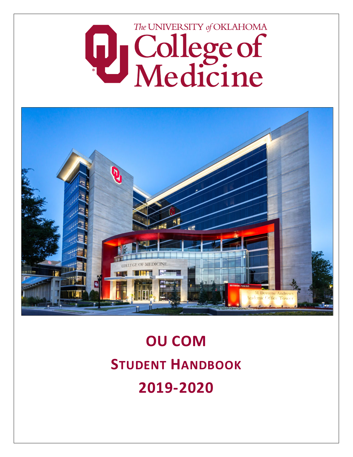



# **OU COM STUDENT HANDBOOK 2019-2020**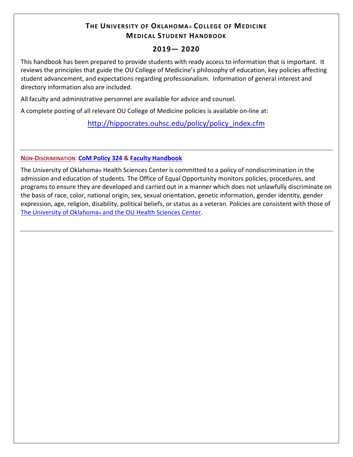# **THE UNIVERSITY OF OKLAHOMA® COLLEGE OF MEDICINE MEDICAL STUDENT HANDBOOK**

## **2019— 2020**

This handbook has been prepared to provide students with ready access to information that is important. It reviews the principles that guide the OU College of Medicine's philosophy of education, key policies affecting student advancement, and expectations regarding professionalism. Information of general interest and directory information also are included.

All faculty and administrative personnel are available for advice and counsel.

A complete posting of all relevant OU College of Medicine policies is available on-line at:

[http://hippocrates.ouhsc.edu/policy/policy\\_index.cfm](http://hippocrates.ouhsc.edu/policy/policy_index.cfm)

### **NON-DISCRIMINATION**: **CoM [Policy 324](https://hippocrates.ouhsc.edu/policy/policy_view.cfm?policyNumber=324) & [Faculty Handbook](http://www.ouhsc.edu/provost/documents/FacultyHandbookOUHSC.pdf)**

The University of Oklahoma**®** Health Sciences Center is committed to a policy of nondiscrimination in the admission and education of students. The Office of Equal Opportunity monitors policies, procedures, and programs to ensure they are developed and carried out in a manner which does not unlawfully discriminate on the basis of race, color, national origin, sex, sexual orientation, genetic information, gender identity, gender expression, age, religion, disability, political beliefs, or status as a veteran. Policies are consistent with those of The University of Oklahoma® [and the OU Health Sciences Center.](http://www.ouhsc.edu/provost/documents/FacultyHandbookOUHSC.pdf)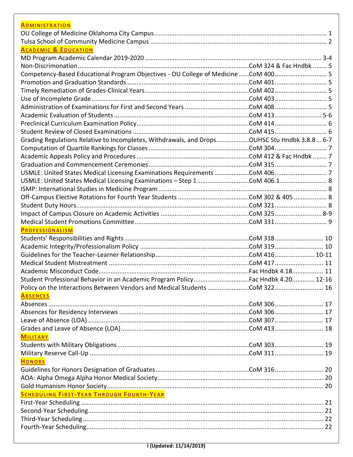| <b>ADMINISTRATION</b>                                                                         |  |
|-----------------------------------------------------------------------------------------------|--|
|                                                                                               |  |
|                                                                                               |  |
| <b>ACADEMIC &amp; EDUCATION</b>                                                               |  |
|                                                                                               |  |
|                                                                                               |  |
| Competency-Based Educational Program Objectives - OU College of MedicineCoM 400 5             |  |
|                                                                                               |  |
|                                                                                               |  |
|                                                                                               |  |
|                                                                                               |  |
|                                                                                               |  |
|                                                                                               |  |
|                                                                                               |  |
| Grading Regulations Relative to Incompletes, Withdrawals, and DropsOUHSC Stu Hndbk 3.8.8  6-7 |  |
|                                                                                               |  |
|                                                                                               |  |
|                                                                                               |  |
|                                                                                               |  |
| USMLE: United States Medical Licensing Examinations - Step 1CoM 406.1 8                       |  |
|                                                                                               |  |
|                                                                                               |  |
|                                                                                               |  |
|                                                                                               |  |
|                                                                                               |  |
|                                                                                               |  |
| <b>PROFESSIONALISM</b>                                                                        |  |
|                                                                                               |  |
|                                                                                               |  |
|                                                                                               |  |
|                                                                                               |  |
|                                                                                               |  |
| Student Professional Behavior in an Academic Program PolicyFac Hndbk 4.20 12-16               |  |
| Policy on the Interactions Between Vendors and Medical Students CoM 322 16                    |  |
| <b>ABSENCES</b>                                                                               |  |
|                                                                                               |  |
|                                                                                               |  |
|                                                                                               |  |
|                                                                                               |  |
| <b>MILITARY</b>                                                                               |  |
|                                                                                               |  |
|                                                                                               |  |
| <b>HONORS</b>                                                                                 |  |
|                                                                                               |  |
|                                                                                               |  |
|                                                                                               |  |
| <b>SCHEDULING FIRST-YEAR THROUGH FOURTH-YEAR</b>                                              |  |
|                                                                                               |  |
|                                                                                               |  |
|                                                                                               |  |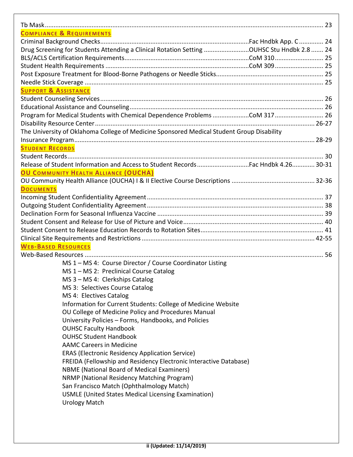| <b>COMPLIANCE &amp; REQUIREMENTS</b>                                                      |  |
|-------------------------------------------------------------------------------------------|--|
|                                                                                           |  |
| Drug Screening for Students Attending a Clinical Rotation Setting OUHSC Stu Hndbk 2.8  24 |  |
|                                                                                           |  |
|                                                                                           |  |
|                                                                                           |  |
|                                                                                           |  |
| <b>SUPPORT &amp; ASSISTANCE</b>                                                           |  |
|                                                                                           |  |
|                                                                                           |  |
| Program for Medical Students with Chemical Dependence Problems COM 317  26                |  |
|                                                                                           |  |
| The University of Oklahoma College of Medicine Sponsored Medical Student Group Disability |  |
|                                                                                           |  |
| <b>STUDENT RECORDS</b>                                                                    |  |
|                                                                                           |  |
| Release of Student Information and Access to Student Records  Fac Hndbk 4.26 30-31        |  |
|                                                                                           |  |
| <b>OU COMMUNITY HEALTH ALLIANCE (OUCHA)</b>                                               |  |
|                                                                                           |  |
| <b>DOCUMENTS</b>                                                                          |  |
|                                                                                           |  |
|                                                                                           |  |
|                                                                                           |  |
|                                                                                           |  |
|                                                                                           |  |
|                                                                                           |  |
| <b>WEB-BASED RESOURCES</b>                                                                |  |
|                                                                                           |  |
| MS 1 - MS 4: Course Director / Course Coordinator Listing                                 |  |
| MS 1 - MS 2: Preclinical Course Catalog                                                   |  |
| MS 3 - MS 4: Clerkships Catalog                                                           |  |
| MS 3: Selectives Course Catalog                                                           |  |
| MS 4: Electives Catalog                                                                   |  |
| Information for Current Students: College of Medicine Website                             |  |
| OU College of Medicine Policy and Procedures Manual                                       |  |
| University Policies - Forms, Handbooks, and Policies                                      |  |
| <b>OUHSC Faculty Handbook</b>                                                             |  |
| <b>OUHSC Student Handbook</b>                                                             |  |
| <b>AAMC Careers in Medicine</b>                                                           |  |
| <b>ERAS (Electronic Residency Application Service)</b>                                    |  |
| FREIDA (Fellowship and Residency Electronic Interactive Database)                         |  |
| <b>NBME</b> (National Board of Medical Examiners)                                         |  |
| NRMP (National Residency Matching Program)                                                |  |
| San Francisco Match (Ophthalmology Match)                                                 |  |
| USMLE (United States Medical Licensing Examination)                                       |  |
| <b>Urology Match</b>                                                                      |  |
|                                                                                           |  |
|                                                                                           |  |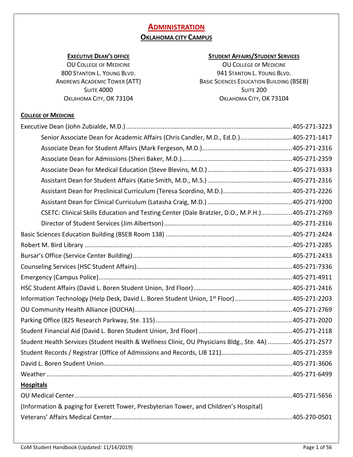# **ADMINISTRATION OKLAHOMA CITY CAMPUS**

### **EXECUTIVE DEAN'S OFFICE**

OU COLLEGE OF MEDICINE 800 STANTON L. YOUNG BLVD. ANDREWS ACADEMIC TOWER (ATT) **SUITE 4000** OKLAHOMA CITY, OK 73104

### **STUDENT AFFAIRS/STUDENT SERVICES**

OU COLLEGE OF MEDICINE 941 STANTON L. YOUNG BLVD. BASIC SCIENCES EDUCATION BUILDING (BSEB) SUITE 200 OKLAHOMA CITY, OK 73104

### **COLLEGE OF MEDICINE**

| Senior Associate Dean for Academic Affairs (Chris Candler, M.D., Ed.D.)405-271-1417                   |  |
|-------------------------------------------------------------------------------------------------------|--|
|                                                                                                       |  |
|                                                                                                       |  |
|                                                                                                       |  |
|                                                                                                       |  |
|                                                                                                       |  |
|                                                                                                       |  |
| CSETC: Clinical Skills Education and Testing Center (Dale Bratzler, D.O., M.P.H.)405-271-2769         |  |
|                                                                                                       |  |
|                                                                                                       |  |
|                                                                                                       |  |
|                                                                                                       |  |
|                                                                                                       |  |
|                                                                                                       |  |
|                                                                                                       |  |
| Information Technology (Help Desk, David L. Boren Student Union, 1st Floor) 405-271-2203              |  |
|                                                                                                       |  |
|                                                                                                       |  |
|                                                                                                       |  |
| Student Health Services (Student Health & Wellness Clinic, OU Physicians Bldg., Ste. 4A) 405-271-2577 |  |
|                                                                                                       |  |
|                                                                                                       |  |
|                                                                                                       |  |
| <b>Hospitals</b>                                                                                      |  |
|                                                                                                       |  |
| (Information & paging for Everett Tower, Presbyterian Tower, and Children's Hospital)                 |  |
|                                                                                                       |  |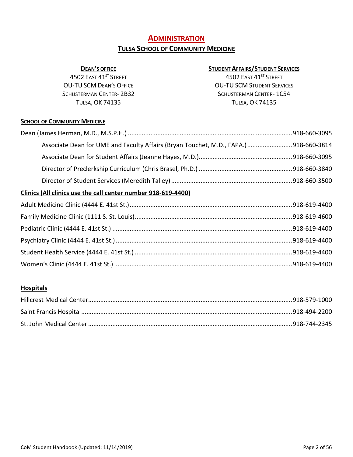# **ADMINISTRATION**

# **TULSA SCHOOL OF COMMUNITY MEDICINE**

### **DEAN'S OFFICE**

4502 EAST 41ST STREET OU-TU SCM DEAN'S OFFICE SCHUSTERMAN CENTER- 2B32 TULSA, OK 74135

### **STUDENT AFFAIRS/STUDENT SERVICES**

4502 EAST 41ST STREET OU-TU SCM STUDENT SERVICES SCHUSTERMAN CENTER- 1C54 TULSA, OK 74135

### **SCHOOL OF COMMUNITY MEDICINE**

| Associate Dean for UME and Faculty Affairs (Bryan Touchet, M.D., FAPA.)918-660-3814 |  |
|-------------------------------------------------------------------------------------|--|
|                                                                                     |  |
|                                                                                     |  |
|                                                                                     |  |
| Clinics (All clinics use the call center number 918-619-4400)                       |  |
|                                                                                     |  |
|                                                                                     |  |
|                                                                                     |  |
|                                                                                     |  |
|                                                                                     |  |
|                                                                                     |  |

### **Hospitals**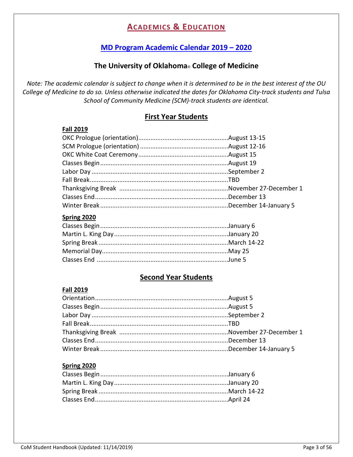# **ACADEMICS & EDUCATION**

# **[MD Program Academic Calendar 2019](https://www.oumedicine.com/college-of-medicine/information-about/undergraduate-medical-education-(ume)/rotation-dates-academic-calendars) – 2020**

# **The University of Oklahoma**® **College of Medicine**

*Note: The academic calendar is subject to change when it is determined to be in the best interest of the OU College of Medicine to do so. Unless otherwise indicated the dates for Oklahoma City-track students and Tulsa School of Community Medicine (SCM)-track students are identical.*

# **First Year Students**

### **Fall 2019**

### **Spring 2020**

# **Second Year Students**

### **Fall 2019**

### **Spring 2020**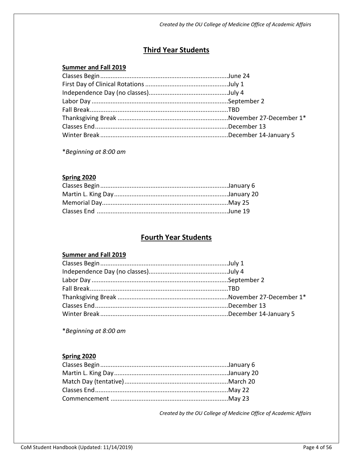# **Third Year Students**

### **Summer and Fall 2019**

\**Beginning at 8:00 am*

### **Spring 2020**

# **Fourth Year Students**

### **Summer and Fall 2019**

\**Beginning at 8:00 am*

### **Spring 2020**

*Created by the OU College of Medicine Office of Academic Affairs*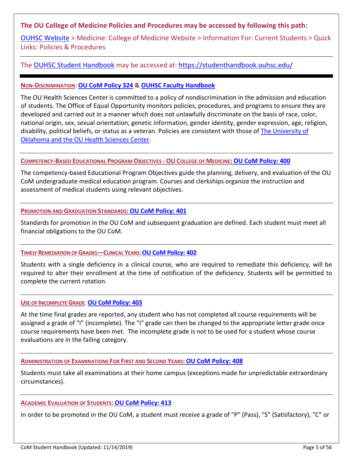### **The OU College of Medicine Policies and Procedures may be accessed by following this path:**

[OUHSC Website](https://www.ouhsc.edu/) > Medicine: College of Medicine Website > Information For: Current Students > Quick Links: Policies & Procedures

### The [OUHSC Student Handbook](https://studenthandbook.ouhsc.edu/) may be accessed at:<https://studenthandbook.ouhsc.edu/>

### **NON-DISCRIMINATION**: **[OU CoM Policy 324](https://hippocrates.ouhsc.edu/policy/policy_view.cfm?policyNumber=324) & [OUHSC Faculty Handbook](http://www.ouhsc.edu/provost/documents/FacultyHandbookOUHSC.pdf)**

The OU Health Sciences Center is committed to a policy of nondiscrimination in the admission and education of students. The Office of Equal Opportunity monitors policies, procedures, and programs to ensure they are developed and carried out in a manner which does not unlawfully discriminate on the basis of race, color, national origin, sex, sexual orientation, genetic information, gender identity, gender expression, age, religion, disability, political beliefs, or status as a veteran. Policies are consistent with those of [The University of](http://www.ouhsc.edu/provost/documents/FacultyHandbookOUHSC.pdf)  Oklahoma [and the OU Health Sciences Center.](http://www.ouhsc.edu/provost/documents/FacultyHandbookOUHSC.pdf)

### **COMPETENCY-BASED EDUCATIONAL PROGRAM OBJECTIVES - OU COLLEGE OF MEDICINE: [OU CoM Policy: 400](https://hippocrates.ouhsc.edu/policy/policy_view.cfm?policyNumber=400)**

The competency-based Educational Program Objectives guide the planning, delivery, and evaluation of the OU CoM undergraduate medical education program. Courses and clerkships organize the instruction and assessment of medical students using relevant objectives.

### **PROMOTION AND GRADUATION STANDARDS: [OU CoM Policy: 401](https://hippocrates.ouhsc.edu/policy/policy_view.cfm?policyNumber=401)**

Standards for promotion in the OU CoM and subsequent graduation are defined. Each student must meet all financial obligations to the OU CoM.

### **TIMELY REMEDIATION OF GRADES—CLINICAL YEARS[:OU CoM Policy: 402](https://hippocrates.ouhsc.edu/policy/policy_view.cfm?policyNumber=402)**

Students with a single deficiency in a clinical course, who are required to remediate this deficiency, will be required to alter their enrollment at the time of notification of the deficiency. Students will be permitted to complete the current rotation.

### **USE OF INCOMPLETE GRADE**:**[OU CoM Policy: 403](https://hippocrates.ouhsc.edu/policy/policy_view.cfm?policyNumber=403)**

At the time final grades are reported, any student who has not completed all course requirements will be assigned a grade of "I" (incomplete). The "I" grade can then be changed to the appropriate letter grade once course requirements have been met. The incomplete grade is not to be used for a student whose course evaluations are in the failing category.

### **ADMINISTRATION OF EXAMINATIONS FOR FIRST AND SECOND YEARS: [OU CoM Policy: 408](https://hippocrates.ouhsc.edu/policy/policy_view.cfm?policyNumber=408)**

Students must take all examinations at their home campus (exceptions made for unpredictable extraordinary circumstances).

### **ACADEMIC EVALUATION OF STUDENTS: [OU CoM Policy: 413](https://hippocrates.ouhsc.edu/policy/policy_view.cfm?policyNumber=413)**

In order to be promoted in the OU CoM, a student must receive a grade of "P" (Pass), "S" (Satisfactory), "C" or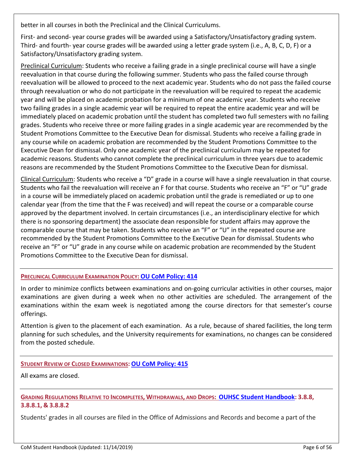better in all courses in both the Preclinical and the Clinical Curriculums.

First- and second- year course grades will be awarded using a Satisfactory/Unsatisfactory grading system. Third- and fourth- year course grades will be awarded using a letter grade system (i.e., A, B, C, D, F) or a Satisfactory/Unsatisfactory grading system.

Preclinical Curriculum: Students who receive a failing grade in a single preclinical course will have a single reevaluation in that course during the following summer. Students who pass the failed course through reevaluation will be allowed to proceed to the next academic year. Students who do not pass the failed course through reevaluation or who do not participate in the reevaluation will be required to repeat the academic year and will be placed on academic probation for a minimum of one academic year. Students who receive two failing grades in a single academic year will be required to repeat the entire academic year and will be immediately placed on academic probation until the student has completed two full semesters with no failing grades. Students who receive three or more failing grades in a single academic year are recommended by the Student Promotions Committee to the Executive Dean for dismissal. Students who receive a failing grade in any course while on academic probation are recommended by the Student Promotions Committee to the Executive Dean for dismissal. Only one academic year of the preclinical curriculum may be repeated for academic reasons. Students who cannot complete the preclinical curriculum in three years due to academic reasons are recommended by the Student Promotions Committee to the Executive Dean for dismissal.

Clinical Curriculum: Students who receive a "D" grade in a course will have a single reevaluation in that course. Students who fail the reevaluation will receive an F for that course. Students who receive an "F" or "U" grade in a course will be immediately placed on academic probation until the grade is remediated or up to one calendar year (from the time that the F was received) and will repeat the course or a comparable course approved by the department involved. In certain circumstances (i.e., an interdisciplinary elective for which there is no sponsoring department) the associate dean responsible for student affairs may approve the comparable course that may be taken. Students who receive an "F" or "U" in the repeated course are recommended by the Student Promotions Committee to the Executive Dean for dismissal. Students who receive an "F" or "U" grade in any course while on academic probation are recommended by the Student Promotions Committee to the Executive Dean for dismissal.

### **PRECLINICAL CURRICULUM EXAMINATION POLICY: [OU CoM Policy: 414](https://hippocrates.ouhsc.edu/policy/policy_view.cfm?policyNumber=414)**

In order to minimize conflicts between examinations and on-going curricular activities in other courses, major examinations are given during a week when no other activities are scheduled. The arrangement of the examinations within the exam week is negotiated among the course directors for that semester's course offerings.

Attention is given to the placement of each examination. As a rule, because of shared facilities, the long term planning for such schedules, and the University requirements for examinations, no changes can be considered from the posted schedule.

### **STUDENT REVIEW OF CLOSED EXAMINATIONS: [OU CoM Policy: 415](https://hippocrates.ouhsc.edu/policy/policy_view.cfm?policyNumber=415)**

All exams are closed.

### **GRADING REGULATIONS RELATIVE TO INCOMPLETES, WITHDRAWALS, AND DROPS: [OUHSC Student Handbook:](https://studenthandbook.ouhsc.edu/) 3.8.8, 3.8.8.1, & 3.8.8.2**

Students' grades in all courses are filed in the Office of Admissions and Records and become a part of the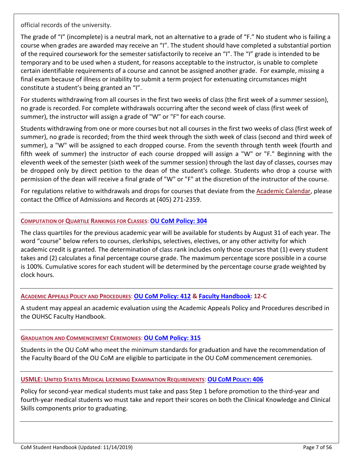official records of the university.

The grade of "I" (incomplete) is a neutral mark, not an alternative to a grade of "F." No student who is failing a course when grades are awarded may receive an "I". The student should have completed a substantial portion of the required coursework for the semester satisfactorily to receive an "I". The "I" grade is intended to be temporary and to be used when a student, for reasons acceptable to the instructor, is unable to complete certain identifiable requirements of a course and cannot be assigned another grade. For example, missing a final exam because of illness or inability to submit a term project for extenuating circumstances might constitute a student's being granted an "I".

For students withdrawing from all courses in the first two weeks of class (the first week of a summer session), no grade is recorded. For complete withdrawals occurring after the second week of class (first week of summer), the instructor will assign a grade of "W" or "F" for each course.

Students withdrawing from one or more courses but not all courses in the first two weeks of class (first week of summer), no grade is recorded; from the third week through the sixth week of class (second and third week of summer), a "W" will be assigned to each dropped course. From the seventh through tenth week (fourth and fifth week of summer) the instructor of each course dropped will assign a "W" or "F." Beginning with the eleventh week of the semester (sixth week of the summer session) through the last day of classes, courses may be dropped only by direct petition to the dean of the student's college. Students who drop a course with permission of the dean will receive a final grade of "W" or "F" at the discretion of the instructor of the course.

For regulations relative to withdrawals and drops for courses that deviate from the [Academic Calendar,](http://admissions.ouhsc.edu/AcademicCalendar.aspx) please contact the Office of Admissions and Records at (405) 271-2359.

### **COMPUTATION OF QUARTILE RANKINGS FOR CLASSES**: **[OU CoM Policy: 304](https://hippocrates.ouhsc.edu/policy/policy_view.cfm?policyNumber=304)**

The class quartiles for the previous academic year will be available for students by August 31 of each year. The word "course" below refers to courses, clerkships, selectives, electives, or any other activity for which academic credit is granted. The determination of class rank includes only those courses that (1) every student takes and (2) calculates a final percentage course grade. The maximum percentage score possible in a course is 100%. Cumulative scores for each student will be determined by the percentage course grade weighted by clock hours.

### **ACADEMIC APPEALS POLICY AND PROCEDURES**: **[OU CoM Policy: 412](https://hippocrates.ouhsc.edu/policy/policy_view.cfm?policyNumber=412) & [Faculty Handbook:](http://www.ouhsc.edu/provost/documents/FacultyHandbookOUHSC.pdf) 12-C**

A student may appeal an academic evaluation using the Academic Appeals Policy and Procedures described in the OUHSC Faculty Handbook.

### **GRADUATION AND COMMENCEMENT CEREMONIES**: **[OU CoM Policy: 315](https://hippocrates.ouhsc.edu/policy/policy_view.cfm?policyNumber=315)**

Students in the OU CoM who meet the minimum standards for graduation and have the recommendation of the Faculty Board of the OU CoM are eligible to participate in the OU CoM commencement ceremonies.

### **USMLE: UNITED STATES MEDICAL LICENSING EXAMINATION REQUIREMENTS**: **OU COM [POLICY:](https://hippocrates.ouhsc.edu/policy/policy_view.cfm?policyNumber=406) 406**

Policy for second-year medical students must take and pass Step 1 before promotion to the third-year and fourth-year medical students wo must take and report their scores on both the Clinical Knowledge and Clinical Skills components prior to graduating.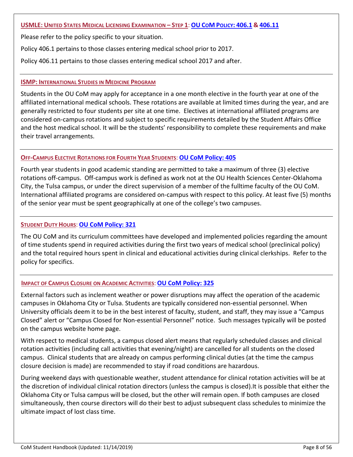### **USMLE: UNITED STATES MEDICAL LICENSING EXAMINATION – STEP 1**: **OU COM [POLICY:](https://hippocrates.ouhsc.edu/policy/policy_view.cfm?policyNumber=406.1) 406.1 & [406.11](https://hippocrates.ouhsc.edu/policy/policy_view.cfm?policyNumber=406.11)**

Please refer to the policy specific to your situation.

Policy 406.1 pertains to those classes entering medical school prior to 2017.

Policy 406.11 pertains to those classes entering medical school 2017 and after.

### **ISMP: INTERNATIONAL STUDIES IN MEDICINE PROGRAM**

Students in the OU CoM may apply for acceptance in a one month elective in the fourth year at one of the affiliated international medical schools. These rotations are available at limited times during the year, and are generally restricted to four students per site at one time. Electives at international affiliated programs are considered on-campus rotations and subject to specific requirements detailed by the Student Affairs Office and the host medical school. It will be the students' responsibility to complete these requirements and make their travel arrangements.

### **OFF-CAMPUS ELECTIVE ROTATIONS FOR FOURTH YEAR STUDENTS**: **[OU CoM Policy: 405](https://hippocrates.ouhsc.edu/policy/policy_view.cfm?policyNumber=405)**

Fourth year students in good academic standing are permitted to take a maximum of three (3) elective rotations off-campus. Off-campus work is defined as work not at the OU Health Sciences Center-Oklahoma City, the Tulsa campus, or under the direct supervision of a member of the fulltime faculty of the OU CoM. International affiliated programs are considered on-campus with respect to this policy. At least five (5) months of the senior year must be spent geographically at one of the college's two campuses.

### **STUDENT DUTY HOURS**: **[OU CoM Policy: 321](https://hippocrates.ouhsc.edu/policy/policy_view.cfm?policyNumber=321)**

The OU CoM and its curriculum committees have developed and implemented policies regarding the amount of time students spend in required activities during the first two years of medical school (preclinical policy) and the total required hours spent in clinical and educational activities during clinical clerkships. Refer to the policy for specifics.

### **IMPACT OF CAMPUS CLOSURE ON ACADEMIC ACTIVITIES**: **[OU CoM Policy: 325](https://hippocrates.ouhsc.edu/policy/policy_view.cfm?policyNumber=325)**

External factors such as inclement weather or power disruptions may affect the operation of the academic campuses in Oklahoma City or Tulsa. Students are typically considered non-essential personnel. When University officials deem it to be in the best interest of faculty, student, and staff, they may issue a "Campus Closed" alert or "Campus Closed for Non-essential Personnel" notice. Such messages typically will be posted on the campus website home page.

With respect to medical students, a campus closed alert means that regularly scheduled classes and clinical rotation activities (including call activities that evening/night) are cancelled for all students on the closed campus. Clinical students that are already on campus performing clinical duties (at the time the campus closure decision is made) are recommended to stay if road conditions are hazardous.

During weekend days with questionable weather, student attendance for clinical rotation activities will be at the discretion of individual clinical rotation directors (unless the campus is closed).It is possible that either the Oklahoma City or Tulsa campus will be closed, but the other will remain open. If both campuses are closed simultaneously, then course directors will do their best to adjust subsequent class schedules to minimize the ultimate impact of lost class time.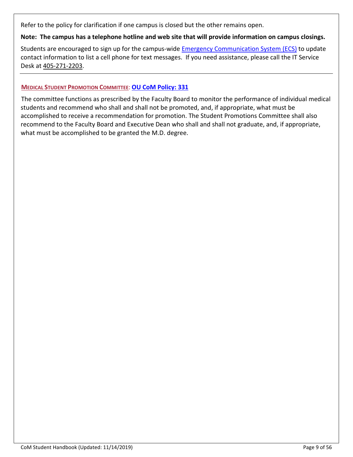Refer to the policy for clarification if one campus is closed but the other remains open.

**Note: The campus has a telephone hotline and web site that will provide information on campus closings.** 

Students are encouraged to sign up for the campus-wide [Emergency Communication System \(ECS\)](http://www.ouhsc.edu/ecs/) to update contact information to list a cell phone for text messages. If you need assistance, please call the IT Service Desk a[t 405-271-2203.](tel:405-271-2203)

### **MEDICAL STUDENT PROMOTION COMMITTEE**: **[OU CoM Policy: 331](https://hippocrates.ouhsc.edu/policy/pdf/Policy%20331%20-%20Promotions%20Committee%2010-8-18.pdf)**

The committee functions as prescribed by the Faculty Board to monitor the performance of individual medical students and recommend who shall and shall not be promoted, and, if appropriate, what must be accomplished to receive a recommendation for promotion. The Student Promotions Committee shall also recommend to the Faculty Board and Executive Dean who shall and shall not graduate, and, if appropriate, what must be accomplished to be granted the M.D. degree.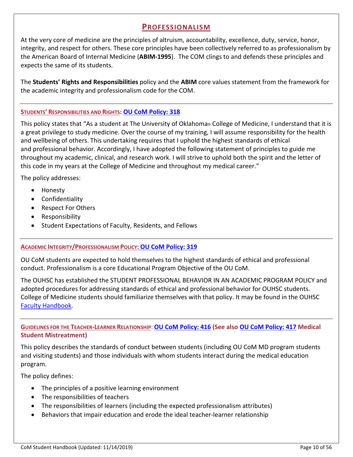# **PROFESSIONALISM**

At the very core of medicine are the principles of altruism, accountability, excellence, duty, service, honor, integrity, and respect for others. These core principles have been collectively referred to as professionalism by the American Board of Internal Medicine (**ABIM-1995**). The COM clings to and defends these principles and expects the same of its students.

The **Students' Rights and Responsibilities** policy and the **ABIM** core values statement from the framework for the academic integrity and professionalism code for the COM.

### **STUDENTS' RESPONSIBILITIES AND RIGHTS: [OU CoM Policy: 318](https://hippocrates.ouhsc.edu/policy/policy_view.cfm?policyNumber=318)**

This policy states that "As a student at The University of Oklahoma® College of Medicine, I understand that it is a great privilege to study medicine. Over the course of my training, I will assume responsibility for the health and wellbeing of others. This undertaking requires that I uphold the highest standards of ethical and professional behavior. Accordingly, I have adopted the following statement of principles to guide me throughout my academic, clinical, and research work. I will strive to uphold both the spirit and the letter of this code in my years at the College of Medicine and throughout my medical career."

The policy addresses:

- Honesty
- Confidentiality
- Respect For Others
- Responsibility
- Student Expectations of Faculty, Residents, and Fellows

### **ACADEMIC INTEGRITY/PROFESSIONALISM POLICY: [OU CoM Policy: 319](https://hippocrates.ouhsc.edu/policy/policy_view.cfm?policyNumber=319)**

OU CoM students are expected to hold themselves to the highest standards of ethical and professional conduct. Professionalism is a core Educational Program Objective of the OU CoM.

The OUHSC has established the STUDENT PROFESSIONAL BEHAVIOR IN AN ACADEMIC PROGRAM POLICY and adopted procedures for addressing standards of ethical and professional behavior for OUHSC students. College of Medicine students should familiarize themselves with that policy. It may be found in the OUHSC [Faculty Handbook.](http://www.ouhsc.edu/provost/documents/FacultyHandbookOUHSC.pdf)

**GUIDELINES FOR THE TEACHER-LEARNER RELATIONSHIP**: **[OU CoM Policy: 416](https://hippocrates.ouhsc.edu/policy/policy_view.cfm?policyNumber=416) (See als[o OU CoM Policy: 417](https://hippocrates.ouhsc.edu/policy/policy_view.cfm?policyNumber=417) Medical Student Mistreatment)**

This policy describes the standards of conduct between students (including OU CoM MD program students and visiting students) and those individuals with whom students interact during the medical education program.

The policy defines:

- The principles of a positive learning environment
- The responsibilities of teachers
- The responsibilities of learners (including the expected professionalism attributes)
- Behaviors that impair education and erode the ideal teacher-learner relationship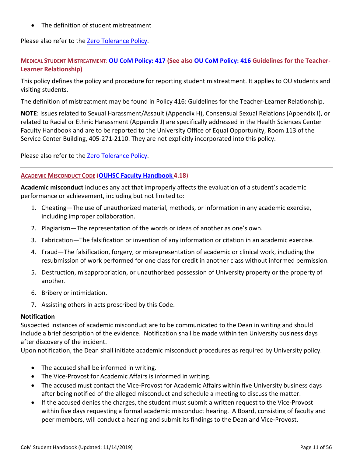• The definition of student mistreatment

Please also refer to the **Zero Tolerance Policy**.

**MEDICAL STUDENT MISTREATMENT**: **[OU CoM Policy: 417](https://hippocrates.ouhsc.edu/policy/policy_view.cfm?policyNumber=417) (See also [OU CoM Policy: 416](https://hippocrates.ouhsc.edu/policy/policy_view.cfm?policyNumber=416) Guidelines for the Teacher-Learner Relationship)**

This policy defines the policy and procedure for reporting student mistreatment. It applies to OU students and visiting students.

The definition of mistreatment may be found in Policy 416: Guidelines for the Teacher-Learner Relationship.

**NOTE**: Issues related to Sexual Harassment/Assault (Appendix H), Consensual Sexual Relations (Appendix I), or related to Racial or Ethnic Harassment (Appendix J) are specifically addressed in the Health Sciences Center Faculty Handbook and are to be reported to the University Office of Equal Opportunity, Room 113 of the Service Center Building, 405-271-2110. They are not explicitly incorporated into this policy.

Please also refer to the [Zero Tolerance Policy.](http://www.ou.edu/tulsa/community_medicine/community-medicine-student-services/zero-tolerance.html/)

### **ACADEMIC MISCONDUCT CODE** (**[OUHSC Faculty Handbook](http://www.ouhsc.edu/provost/documents/FacultyHandbookOUHSC.pdf) 4.18**)

**Academic misconduct** includes any act that improperly affects the evaluation of a student's academic performance or achievement, including but not limited to:

- 1. Cheating—The use of unauthorized material, methods, or information in any academic exercise, including improper collaboration.
- 2. Plagiarism—The representation of the words or ideas of another as one's own.
- 3. Fabrication—The falsification or invention of any information or citation in an academic exercise.
- 4. Fraud—The falsification, forgery, or misrepresentation of academic or clinical work, including the resubmission of work performed for one class for credit in another class without informed permission.
- 5. Destruction, misappropriation, or unauthorized possession of University property or the property of another.
- 6. Bribery or intimidation.
- 7. Assisting others in acts proscribed by this Code.

### **Notification**

Suspected instances of academic misconduct are to be communicated to the Dean in writing and should include a brief description of the evidence. Notification shall be made within ten University business days after discovery of the incident.

Upon notification, the Dean shall initiate academic misconduct procedures as required by University policy.

- The accused shall be informed in writing.
- The Vice-Provost for Academic Affairs is informed in writing.
- The accused must contact the Vice-Provost for Academic Affairs within five University business days after being notified of the alleged misconduct and schedule a meeting to discuss the matter.
- If the accused denies the charges, the student must submit a written request to the Vice-Provost within five days requesting a formal academic misconduct hearing. A Board, consisting of faculty and peer members, will conduct a hearing and submit its findings to the Dean and Vice-Provost.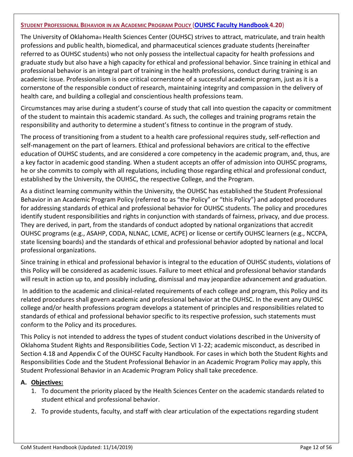### **STUDENT PROFESSIONAL BEHAVIOR IN AN ACADEMIC PROGRAM POLICY** (**[OUHSC Faculty Handbook](http://www.ouhsc.edu/provost/documents/FacultyHandbookOUHSC.pdf) 4.20**)

The University of Oklahoma® Health Sciences Center (OUHSC) strives to attract, matriculate, and train health professions and public health, biomedical, and pharmaceutical sciences graduate students (hereinafter referred to as OUHSC students) who not only possess the intellectual capacity for health professions and graduate study but also have a high capacity for ethical and professional behavior. Since training in ethical and professional behavior is an integral part of training in the health professions, conduct during training is an academic issue. Professionalism is one critical cornerstone of a successful academic program, just as it is a cornerstone of the responsible conduct of research, maintaining integrity and compassion in the delivery of health care, and building a collegial and conscientious health professions team.

Circumstances may arise during a student's course of study that call into question the capacity or commitment of the student to maintain this academic standard. As such, the colleges and training programs retain the responsibility and authority to determine a student's fitness to continue in the program of study.

The process of transitioning from a student to a health care professional requires study, self-reflection and self-management on the part of learners. Ethical and professional behaviors are critical to the effective education of OUHSC students, and are considered a core competency in the academic program, and, thus, are a key factor in academic good standing. When a student accepts an offer of admission into OUHSC programs, he or she commits to comply with all regulations, including those regarding ethical and professional conduct, established by the University, the OUHSC, the respective College, and the Program.

As a distinct learning community within the University, the OUHSC has established the Student Professional Behavior in an Academic Program Policy (referred to as "the Policy" or "this Policy") and adopted procedures for addressing standards of ethical and professional behavior for OUHSC students. The policy and procedures identify student responsibilities and rights in conjunction with standards of fairness, privacy, and due process. They are derived, in part, from the standards of conduct adopted by national organizations that accredit OUHSC programs (e.g., ASAHP, CODA, NLNAC, LCME, ACPE) or license or certify OUHSC learners (e.g., NCCPA, state licensing boards) and the standards of ethical and professional behavior adopted by national and local professional organizations.

Since training in ethical and professional behavior is integral to the education of OUHSC students, violations of this Policy will be considered as academic issues. Failure to meet ethical and professional behavior standards will result in action up to, and possibly including, dismissal and may jeopardize advancement and graduation.

In addition to the academic and clinical-related requirements of each college and program, this Policy and its related procedures shall govern academic and professional behavior at the OUHSC. In the event any OUHSC college and/or health professions program develops a statement of principles and responsibilities related to standards of ethical and professional behavior specific to its respective profession, such statements must conform to the Policy and its procedures.

This Policy is not intended to address the types of student conduct violations described in the University of Oklahoma Student Rights and Responsibilities Code, Section VI 1-22; academic misconduct, as described in Section 4.18 and Appendix C of the OUHSC Faculty Handbook. For cases in which both the Student Rights and Responsibilities Code and the Student Professional Behavior in an Academic Program Policy may apply, this Student Professional Behavior in an Academic Program Policy shall take precedence.

### **A. Objectives:**

- 1. To document the priority placed by the Health Sciences Center on the academic standards related to student ethical and professional behavior.
- 2. To provide students, faculty, and staff with clear articulation of the expectations regarding student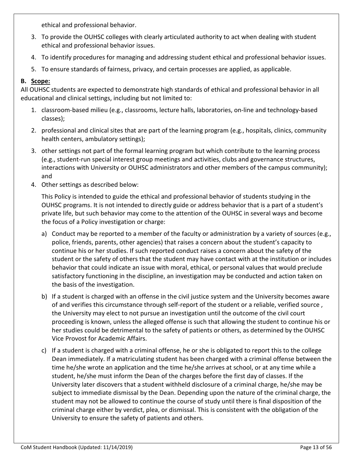ethical and professional behavior.

- 3. To provide the OUHSC colleges with clearly articulated authority to act when dealing with student ethical and professional behavior issues.
- 4. To identify procedures for managing and addressing student ethical and professional behavior issues.
- 5. To ensure standards of fairness, privacy, and certain processes are applied, as applicable.

### **B. Scope:**

All OUHSC students are expected to demonstrate high standards of ethical and professional behavior in all educational and clinical settings, including but not limited to:

- 1. classroom-based milieu (e.g., classrooms, lecture halls, laboratories, on-line and technology-based classes);
- 2. professional and clinical sites that are part of the learning program (e.g., hospitals, clinics, community health centers, ambulatory settings);
- 3. other settings not part of the formal learning program but which contribute to the learning process (e.g., student-run special interest group meetings and activities, clubs and governance structures, interactions with University or OUHSC administrators and other members of the campus community); and
- 4. Other settings as described below:

This Policy is intended to guide the ethical and professional behavior of students studying in the OUHSC programs. It is not intended to directly guide or address behavior that is a part of a student's private life, but such behavior may come to the attention of the OUHSC in several ways and become the focus of a Policy investigation or charge:

- a) Conduct may be reported to a member of the faculty or administration by a variety of sources (e.g., police, friends, parents, other agencies) that raises a concern about the student's capacity to continue his or her studies. If such reported conduct raises a concern about the safety of the student or the safety of others that the student may have contact with at the institution or includes behavior that could indicate an issue with moral, ethical, or personal values that would preclude satisfactory functioning in the discipline, an investigation may be conducted and action taken on the basis of the investigation.
- b) If a student is charged with an offense in the civil justice system and the University becomes aware of and verifies this circumstance through self-report of the student or a reliable, verified source , the University may elect to not pursue an investigation until the outcome of the civil court proceeding is known, unless the alleged offense is such that allowing the student to continue his or her studies could be detrimental to the safety of patients or others, as determined by the OUHSC Vice Provost for Academic Affairs.
- c) If a student is charged with a criminal offense, he or she is obligated to report this to the college Dean immediately. If a matriculating student has been charged with a criminal offense between the time he/she wrote an application and the time he/she arrives at school, or at any time while a student, he/she must inform the Dean of the charges before the first day of classes. If the University later discovers that a student withheld disclosure of a criminal charge, he/she may be subject to immediate dismissal by the Dean. Depending upon the nature of the criminal charge, the student may not be allowed to continue the course of study until there is final disposition of the criminal charge either by verdict, plea, or dismissal. This is consistent with the obligation of the University to ensure the safety of patients and others.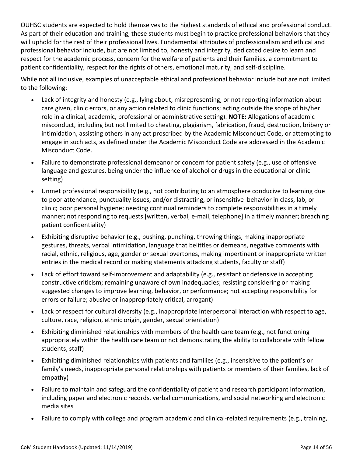OUHSC students are expected to hold themselves to the highest standards of ethical and professional conduct. As part of their education and training, these students must begin to practice professional behaviors that they will uphold for the rest of their professional lives. Fundamental attributes of professionalism and ethical and professional behavior include, but are not limited to, honesty and integrity, dedicated desire to learn and respect for the academic process, concern for the welfare of patients and their families, a commitment to patient confidentiality, respect for the rights of others, emotional maturity, and self-discipline.

While not all inclusive, examples of unacceptable ethical and professional behavior include but are not limited to the following:

- Lack of integrity and honesty (e.g., lying about, misrepresenting, or not reporting information about care given, clinic errors, or any action related to clinic functions; acting outside the scope of his/her role in a clinical, academic, professional or administrative setting). **NOTE:** Allegations of academic misconduct, including but not limited to cheating, plagiarism, fabrication, fraud, destruction, bribery or intimidation, assisting others in any act proscribed by the Academic Misconduct Code, or attempting to engage in such acts, as defined under the Academic Misconduct Code are addressed in the Academic Misconduct Code.
- Failure to demonstrate professional demeanor or concern for patient safety (e.g., use of offensive language and gestures, being under the influence of alcohol or drugs in the educational or clinic setting)
- Unmet professional responsibility (e.g., not contributing to an atmosphere conducive to learning due to poor attendance, punctuality issues, and/or distracting, or insensitive behavior in class, lab, or clinic; poor personal hygiene; needing continual reminders to complete responsibilities in a timely manner; not responding to requests [written, verbal, e-mail, telephone] in a timely manner; breaching patient confidentiality)
- Exhibiting disruptive behavior (e.g., pushing, punching, throwing things, making inappropriate gestures, threats, verbal intimidation, language that belittles or demeans, negative comments with racial, ethnic, religious, age, gender or sexual overtones, making impertinent or inappropriate written entries in the medical record or making statements attacking students, faculty or staff)
- Lack of effort toward self-improvement and adaptability (e.g., resistant or defensive in accepting constructive criticism; remaining unaware of own inadequacies; resisting considering or making suggested changes to improve learning, behavior, or performance; not accepting responsibility for errors or failure; abusive or inappropriately critical, arrogant)
- Lack of respect for cultural diversity (e.g., inappropriate interpersonal interaction with respect to age, culture, race, religion, ethnic origin, gender, sexual orientation)
- Exhibiting diminished relationships with members of the health care team (e.g., not functioning appropriately within the health care team or not demonstrating the ability to collaborate with fellow students, staff)
- Exhibiting diminished relationships with patients and families (e.g., insensitive to the patient's or family's needs, inappropriate personal relationships with patients or members of their families, lack of empathy)
- Failure to maintain and safeguard the confidentiality of patient and research participant information, including paper and electronic records, verbal communications, and social networking and electronic media sites
- Failure to comply with college and program academic and clinical-related requirements (e.g., training,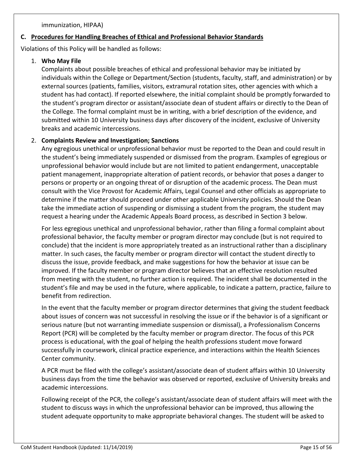immunization, HIPAA)

### **C. Procedures for Handling Breaches of Ethical and Professional Behavior Standards**

Violations of this Policy will be handled as follows:

### 1. **Who May File**

Complaints about possible breaches of ethical and professional behavior may be initiated by individuals within the College or Department/Section (students, faculty, staff, and administration) or by external sources (patients, families, visitors, extramural rotation sites, other agencies with which a student has had contact). If reported elsewhere, the initial complaint should be promptly forwarded to the student's program director or assistant/associate dean of student affairs or directly to the Dean of the College. The formal complaint must be in writing, with a brief description of the evidence, and submitted within 10 University business days after discovery of the incident, exclusive of University breaks and academic intercessions.

### 2. **Complaints Review and Investigation; Sanctions**

Any egregious unethical or unprofessional behavior must be reported to the Dean and could result in the student's being immediately suspended or dismissed from the program. Examples of egregious or unprofessional behavior would include but are not limited to patient endangerment, unacceptable patient management, inappropriate alteration of patient records, or behavior that poses a danger to persons or property or an ongoing threat of or disruption of the academic process. The Dean must consult with the Vice Provost for Academic Affairs, Legal Counsel and other officials as appropriate to determine if the matter should proceed under other applicable University policies. Should the Dean take the immediate action of suspending or dismissing a student from the program, the student may request a hearing under the Academic Appeals Board process, as described in Section 3 below.

For less egregious unethical and unprofessional behavior, rather than filing a formal complaint about professional behavior, the faculty member or program director may conclude (but is not required to conclude) that the incident is more appropriately treated as an instructional rather than a disciplinary matter. In such cases, the faculty member or program director will contact the student directly to discuss the issue, provide feedback, and make suggestions for how the behavior at issue can be improved. If the faculty member or program director believes that an effective resolution resulted from meeting with the student, no further action is required. The incident shall be documented in the student's file and may be used in the future, where applicable, to indicate a pattern, practice, failure to benefit from redirection.

In the event that the faculty member or program director determines that giving the student feedback about issues of concern was not successful in resolving the issue or if the behavior is of a significant or serious nature (but not warranting immediate suspension or dismissal), a Professionalism Concerns Report (PCR) will be completed by the faculty member or program director. The focus of this PCR process is educational, with the goal of helping the health professions student move forward successfully in coursework, clinical practice experience, and interactions within the Health Sciences Center community.

A PCR must be filed with the college's assistant/associate dean of student affairs within 10 University business days from the time the behavior was observed or reported, exclusive of University breaks and academic intercessions.

Following receipt of the PCR, the college's assistant/associate dean of student affairs will meet with the student to discuss ways in which the unprofessional behavior can be improved, thus allowing the student adequate opportunity to make appropriate behavioral changes. The student will be asked to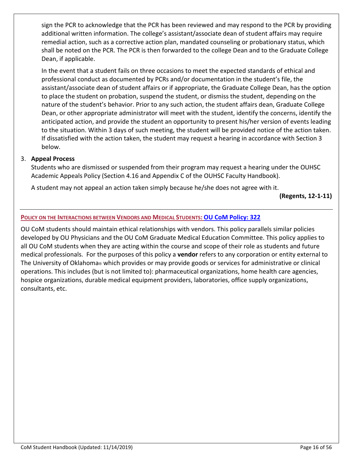sign the PCR to acknowledge that the PCR has been reviewed and may respond to the PCR by providing additional written information. The college's assistant/associate dean of student affairs may require remedial action, such as a corrective action plan, mandated counseling or probationary status, which shall be noted on the PCR. The PCR is then forwarded to the college Dean and to the Graduate College Dean, if applicable.

In the event that a student fails on three occasions to meet the expected standards of ethical and professional conduct as documented by PCRs and/or documentation in the student's file, the assistant/associate dean of student affairs or if appropriate, the Graduate College Dean, has the option to place the student on probation, suspend the student, or dismiss the student, depending on the nature of the student's behavior. Prior to any such action, the student affairs dean, Graduate College Dean, or other appropriate administrator will meet with the student, identify the concerns, identify the anticipated action, and provide the student an opportunity to present his/her version of events leading to the situation. Within 3 days of such meeting, the student will be provided notice of the action taken. If dissatisfied with the action taken, the student may request a hearing in accordance with Section 3 below.

### 3. **Appeal Process**

Students who are dismissed or suspended from their program may request a hearing under the OUHSC Academic Appeals Policy (Section 4.16 and Appendix C of the OUHSC Faculty Handbook).

A student may not appeal an action taken simply because he/she does not agree with it.

**(Regents, 12-1-11)** 

### **POLICY ON THE INTERACTIONS BETWEEN VENDORS AND MEDICAL STUDENTS: [OU CoM Policy: 322](https://hippocrates.ouhsc.edu/policy/policy_view.cfm?policyNumber=322)**

OU CoM students should maintain ethical relationships with vendors. This policy parallels similar policies developed by OU Physicians and the OU CoM Graduate Medical Education Committee. This policy applies to all OU CoM students when they are acting within the course and scope of their role as students and future medical professionals. For the purposes of this policy a **vendor** refers to any corporation or entity external to The University of Oklahoma® which provides or may provide goods or services for administrative or clinical operations. This includes (but is not limited to): pharmaceutical organizations, home health care agencies, hospice organizations, durable medical equipment providers, laboratories, office supply organizations, consultants, etc.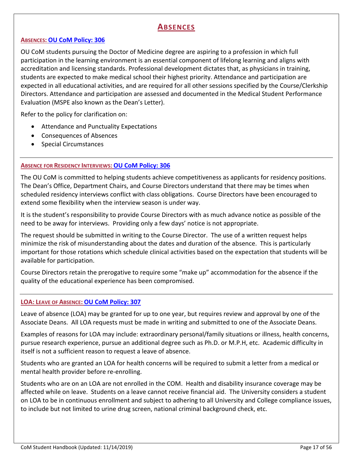# **ABSENCES**

### **ABSENCES: [OU CoM Policy: 306](https://hippocrates.ouhsc.edu/policy/policy_view.cfm?policyNumber=306)**

OU CoM students pursuing the Doctor of Medicine degree are aspiring to a profession in which full participation in the learning environment is an essential component of lifelong learning and aligns with accreditation and licensing standards. Professional development dictates that, as physicians in training, students are expected to make medical school their highest priority. Attendance and participation are expected in all educational activities, and are required for all other sessions specified by the Course/Clerkship Directors. Attendance and participation are assessed and documented in the Medical Student Performance Evaluation (MSPE also known as the Dean's Letter).

Refer to the policy for clarification on:

- Attendance and Punctuality Expectations
- Consequences of Absences
- Special Circumstances

### **ABSENCE FOR RESIDENCY INTERVIEWS: [OU CoM Policy: 306](https://hippocrates.ouhsc.edu/policy/policy_view.cfm?policyNumber=306)**

The OU CoM is committed to helping students achieve competitiveness as applicants for residency positions. The Dean's Office, Department Chairs, and Course Directors understand that there may be times when scheduled residency interviews conflict with class obligations. Course Directors have been encouraged to extend some flexibility when the interview season is under way.

It is the student's responsibility to provide Course Directors with as much advance notice as possible of the need to be away for interviews. Providing only a few days' notice is not appropriate.

The request should be submitted in writing to the Course Director. The use of a written request helps minimize the risk of misunderstanding about the dates and duration of the absence. This is particularly important for those rotations which schedule clinical activities based on the expectation that students will be available for participation.

Course Directors retain the prerogative to require some "make up" accommodation for the absence if the quality of the educational experience has been compromised.

### **LOA: LEAVE OF ABSENCE: [OU CoM Policy: 307](https://hippocrates.ouhsc.edu/policy/policy_view.cfm?policyNumber=307)**

Leave of absence (LOA) may be granted for up to one year, but requires review and approval by one of the Associate Deans. All LOA requests must be made in writing and submitted to one of the Associate Deans.

Examples of reasons for LOA may include: extraordinary personal/family situations or illness, health concerns, pursue research experience, pursue an additional degree such as Ph.D. or M.P.H, etc. Academic difficulty in itself is not a sufficient reason to request a leave of absence.

Students who are granted an LOA for health concerns will be required to submit a letter from a medical or mental health provider before re-enrolling.

Students who are on an LOA are not enrolled in the COM. Health and disability insurance coverage may be affected while on leave. Students on a leave cannot receive financial aid. The University considers a student on LOA to be in continuous enrollment and subject to adhering to all University and College compliance issues, to include but not limited to urine drug screen, national criminal background check, etc.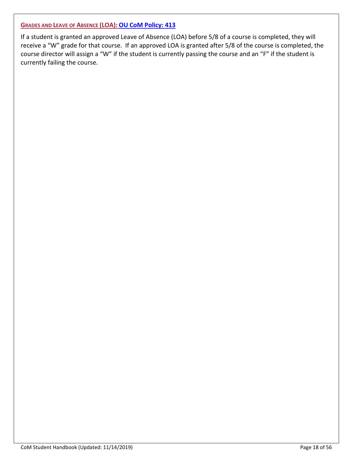### **GRADES AND LEAVE OF ABSENCE (LOA): [OU CoM Policy: 413](https://hippocrates.ouhsc.edu/policy/policy_view.cfm?policyNumber=413)**

If a student is granted an approved Leave of Absence (LOA) before 5/8 of a course is completed, they will receive a "W" grade for that course. If an approved LOA is granted after 5/8 of the course is completed, the course director will assign a "W" if the student is currently passing the course and an "F" if the student is currently failing the course.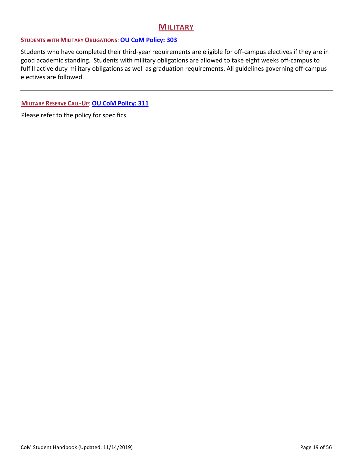# **MILITARY**

### **STUDENTS WITH MILITARY OBLIGATIONS**: **[OU CoM Policy: 303](https://hippocrates.ouhsc.edu/policy/policy_view.cfm?policyNumber=303)**

Students who have completed their third-year requirements are eligible for off-campus electives if they are in good academic standing. Students with military obligations are allowed to take eight weeks off-campus to fulfill active duty military obligations as well as graduation requirements. All guidelines governing off-campus electives are followed.

**MILITARY RESERVE CALL-UP**: **[OU CoM Policy: 311](https://hippocrates.ouhsc.edu/policy/policy_view.cfm?policyNumber=311)**

Please refer to the policy for specifics.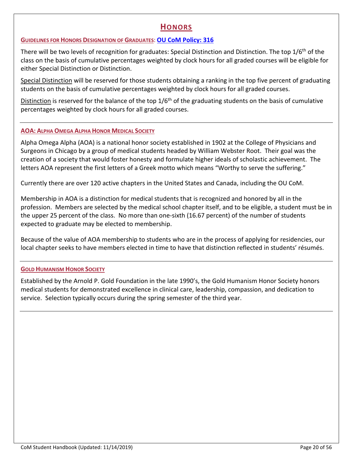# **HONORS**

### **GUIDELINES FOR HONORS DESIGNATION OF GRADUATES**: **[OU CoM Policy: 316](https://hippocrates.ouhsc.edu/policy/policy_view.cfm?policyNumber=316)**

There will be two levels of recognition for graduates: Special Distinction and Distinction. The top 1/6<sup>th</sup> of the class on the basis of cumulative percentages weighted by clock hours for all graded courses will be eligible for either Special Distinction or Distinction.

Special Distinction will be reserved for those students obtaining a ranking in the top five percent of graduating students on the basis of cumulative percentages weighted by clock hours for all graded courses.

Distinction is reserved for the balance of the top  $1/6<sup>th</sup>$  of the graduating students on the basis of cumulative percentages weighted by clock hours for all graded courses.

### **AOA: ALPHA OMEGA ALPHA HONOR MEDICAL SOCIETY**

Alpha Omega Alpha (AOA) is a national honor society established in 1902 at the College of Physicians and Surgeons in Chicago by a group of medical students headed by William Webster Root. Their goal was the creation of a society that would foster honesty and formulate higher ideals of scholastic achievement. The letters AOA represent the first letters of a Greek motto which means "Worthy to serve the suffering."

Currently there are over 120 active chapters in the United States and Canada, including the OU CoM.

Membership in AOA is a distinction for medical students that is recognized and honored by all in the profession. Members are selected by the medical school chapter itself, and to be eligible, a student must be in the upper 25 percent of the class. No more than one-sixth (16.67 percent) of the number of students expected to graduate may be elected to membership.

Because of the value of AOA membership to students who are in the process of applying for residencies, our local chapter seeks to have members elected in time to have that distinction reflected in students' résumés.

### **GOLD HUMANISM HONOR SOCIETY**

Established by the Arnold P. Gold Foundation in the late 1990's, the Gold Humanism Honor Society honors medical students for demonstrated excellence in clinical care, leadership, compassion, and dedication to service. Selection typically occurs during the spring semester of the third year.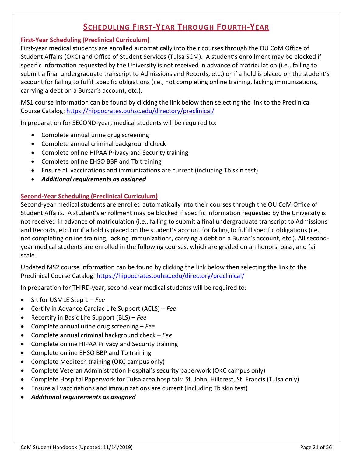# **SCHEDULING FIRST-YEAR THROUGH FOURTH-YEAR**

### **First-Year Scheduling (Preclinical Curriculum)**

First-year medical students are enrolled automatically into their courses through the OU CoM Office of Student Affairs (OKC) and Office of Student Services (Tulsa SCM). A student's enrollment may be blocked if specific information requested by the University is not received in advance of matriculation (i.e., failing to submit a final undergraduate transcript to Admissions and Records, etc.) or if a hold is placed on the student's account for failing to fulfill specific obligations (i.e., not completing online training, lacking immunizations, carrying a debt on a Bursar's account, etc.).

MS1 course information can be found by clicking the link below then selecting the link to the Preclinical Course Catalog:<https://hippocrates.ouhsc.edu/directory/preclinical/>

In preparation for SECOND-year, medical students will be required to:

- Complete annual urine drug screening
- Complete annual criminal background check
- Complete online HIPAA Privacy and Security training
- Complete online EHSO BBP and Tb training
- Ensure all vaccinations and immunizations are current (including Tb skin test)
- *Additional requirements as assigned*

### **Second-Year Scheduling (Preclinical Curriculum)**

Second-year medical students are enrolled automatically into their courses through the OU CoM Office of Student Affairs. A student's enrollment may be blocked if specific information requested by the University is not received in advance of matriculation (i.e., failing to submit a final undergraduate transcript to Admissions and Records, etc.) or if a hold is placed on the student's account for failing to fulfill specific obligations (i.e., not completing online training, lacking immunizations, carrying a debt on a Bursar's account, etc.). All secondyear medical students are enrolled in the following courses, which are graded on an honors, pass, and fail scale.

Updated MS2 course information can be found by clicking the link below then selecting the link to the Preclinical Course Catalog:<https://hippocrates.ouhsc.edu/directory/preclinical/>

In preparation for THIRD-year, second-year medical students will be required to:

- Sit for USMLE Step 1 *Fee*
- Certify in Advance Cardiac Life Support (ACLS) *Fee*
- Recertify in Basic Life Support (BLS) *Fee*
- Complete annual urine drug screening *Fee*
- Complete annual criminal background check *Fee*
- Complete online HIPAA Privacy and Security training
- Complete online EHSO BBP and Tb training
- Complete Meditech training (OKC campus only)
- Complete Veteran Administration Hospital's security paperwork (OKC campus only)
- Complete Hospital Paperwork for Tulsa area hospitals: St. John, Hillcrest, St. Francis (Tulsa only)
- Ensure all vaccinations and immunizations are current (including Tb skin test)
- *Additional requirements as assigned*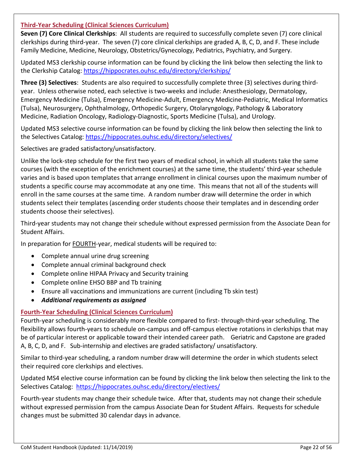### **Third-Year Scheduling (Clinical Sciences Curriculum)**

**Seven (7) Core Clinical Clerkships**: All students are required to successfully complete seven (7) core clinical clerkships during third-year. The seven (7) core clinical clerkships are graded A, B, C, D, and F. These include Family Medicine, Medicine, Neurology, Obstetrics/Gynecology, Pediatrics, Psychiatry, and Surgery.

Updated MS3 clerkship course information can be found by clicking the link below then selecting the link to the Clerkship Catalog:<https://hippocrates.ouhsc.edu/directory/clerkships/>

**Three (3) Selectives**: Students are also required to successfully complete three (3) selectives during thirdyear. Unless otherwise noted, each selective is two-weeks and include: Anesthesiology, Dermatology, Emergency Medicine (Tulsa), Emergency Medicine-Adult, Emergency Medicine-Pediatric, Medical Informatics (Tulsa), Neurosurgery, Ophthalmology, Orthopedic Surgery, Otolaryngology, Pathology & Laboratory Medicine, Radiation Oncology, Radiology-Diagnostic, Sports Medicine (Tulsa), and Urology.

Updated MS3 selective course information can be found by clicking the link below then selecting the link to the Selectives Catalog:<https://hippocrates.ouhsc.edu/directory/selectives/>

Selectives are graded satisfactory/unsatisfactory.

Unlike the lock-step schedule for the first two years of medical school, in which all students take the same courses (with the exception of the enrichment courses) at the same time, the students' third-year schedule varies and is based upon templates that arrange enrollment in clinical courses upon the maximum number of students a specific course may accommodate at any one time. This means that not all of the students will enroll in the same courses at the same time. A random number draw will determine the order in which students select their templates (ascending order students choose their templates and in descending order students choose their selectives).

Third-year students may not change their schedule without expressed permission from the Associate Dean for Student Affairs.

In preparation for FOURTH-year, medical students will be required to:

- Complete annual urine drug screening
- Complete annual criminal background check
- Complete online HIPAA Privacy and Security training
- Complete online EHSO BBP and Tb training
- Ensure all vaccinations and immunizations are current (including Tb skin test)
- *Additional requirements as assigned*

### **Fourth-Year Scheduling (Clinical Sciences Curriculum)**

Fourth-year scheduling is considerably more flexible compared to first- through-third-year scheduling. The flexibility allows fourth-years to schedule on-campus and off-campus elective rotations in clerkships that may be of particular interest or applicable toward their intended career path. Geriatric and Capstone are graded A, B, C, D, and F. Sub-internship and electives are graded satisfactory/ unsatisfactory.

Similar to third-year scheduling, a random number draw will determine the order in which students select their required core clerkships and electives.

Updated MS4 elective course information can be found by clicking the link below then selecting the link to the Selectives Catalog: <https://hippocrates.ouhsc.edu/directory/electives/>

Fourth-year students may change their schedule twice. After that, students may not change their schedule without expressed permission from the campus Associate Dean for Student Affairs. Requests for schedule changes must be submitted 30 calendar days in advance.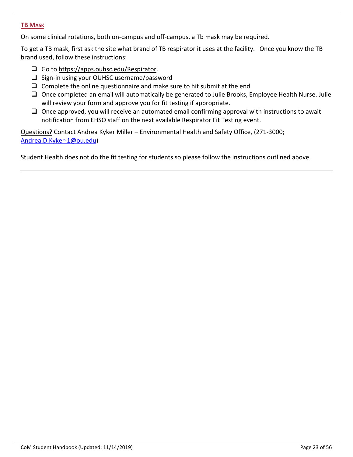### **TB MASK**

On some clinical rotations, both on-campus and off-campus, a Tb mask may be required.

To get a TB mask, first ask the site what brand of TB respirator it uses at the facility. Once you know the TB brand used, follow these instructions:

- Go t[o https://apps.ouhsc.edu/Respirator.](https://apps.ouhsc.edu/Respirator)
- $\Box$  Sign-in using your OUHSC username/password
- $\Box$  Complete the online questionnaire and make sure to hit submit at the end
- $\Box$  Once completed an email will automatically be generated to Julie Brooks, Employee Health Nurse. Julie will review your form and approve you for fit testing if appropriate.
- $\Box$  Once approved, you will receive an automated email confirming approval with instructions to await notification from EHSO staff on the next available Respirator Fit Testing event.

Questions? Contact Andrea Kyker Miller – Environmental Health and Safety Office, (271-3000; [Andrea.D.Kyker-1@ou.edu\)](mailto:Andrea.D.Kyker-1@ou.edu)

Student Health does not do the fit testing for students so please follow the instructions outlined above.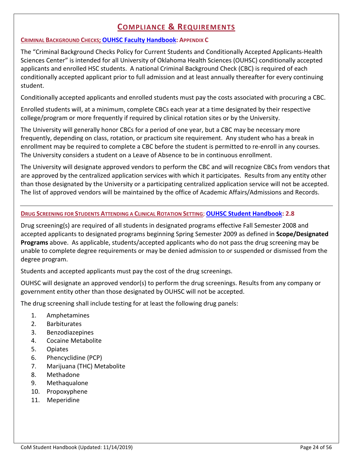# **COMPLIANCE & REQUIREMENTS**

### **CRIMINAL BACKGROUND CHECKS; [OUHSC Faculty Handbook:](http://www.ouhsc.edu/provost/documents/FacultyHandbookOUHSC.pdf) APPENDIX C**

The "Criminal Background Checks Policy for Current Students and Conditionally Accepted Applicants-Health Sciences Center" is intended for all University of Oklahoma Health Sciences (OUHSC) conditionally accepted applicants and enrolled HSC students. A national Criminal Background Check (CBC) is required of each conditionally accepted applicant prior to full admission and at least annually thereafter for every continuing student.

Conditionally accepted applicants and enrolled students must pay the costs associated with procuring a CBC.

Enrolled students will, at a minimum, complete CBCs each year at a time designated by their respective college/program or more frequently if required by clinical rotation sites or by the University.

The University will generally honor CBCs for a period of one year, but a CBC may be necessary more frequently, depending on class, rotation, or practicum site requirement. Any student who has a break in enrollment may be required to complete a CBC before the student is permitted to re-enroll in any courses. The University considers a student on a Leave of Absence to be in continuous enrollment.

The University will designate approved vendors to perform the CBC and will recognize CBCs from vendors that are approved by the centralized application services with which it participates. Results from any entity other than those designated by the University or a participating centralized application service will not be accepted. The list of approved vendors will be maintained by the office of Academic Affairs/Admissions and Records.

### **DRUG SCREENING FOR STUDENTS ATTENDING A CLINICAL ROTATION SETTING**; **[OUHSC Student Handbook:](https://studenthandbook.ouhsc.edu/) 2.8**

Drug screening(s) are required of all students in designated programs effective Fall Semester 2008 and accepted applicants to designated programs beginning Spring Semester 2009 as defined in **Scope/Designated Programs** above. As applicable, students/accepted applicants who do not pass the drug screening may be unable to complete degree requirements or may be denied admission to or suspended or dismissed from the degree program.

Students and accepted applicants must pay the cost of the drug screenings.

OUHSC will designate an approved vendor(s) to perform the drug screenings. Results from any company or government entity other than those designated by OUHSC will not be accepted.

The drug screening shall include testing for at least the following drug panels:

- 1. Amphetamines
- 2. Barbiturates
- 3. Benzodiazepines
- 4. Cocaine Metabolite
- 5. Opiates
- 6. Phencyclidine (PCP)
- 7. Marijuana (THC) Metabolite
- 8. Methadone
- 9. Methaqualone
- 10. Propoxyphene
- 11. Meperidine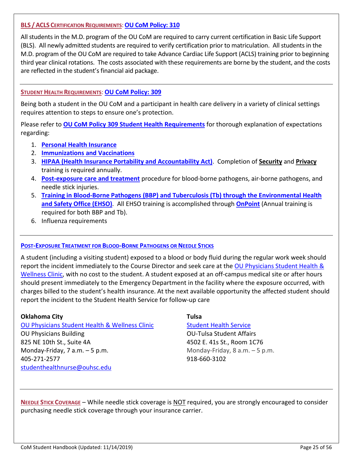### **BLS /ACLS CERTIFICATION REQUIREMENTS**:**[OU CoM Policy: 310](https://hippocrates.ouhsc.edu/policy/policy_view.cfm?policyNumber=310)**

All students in the M.D. program of the OU CoM are required to carry current certification in Basic Life Support (BLS). All newly admitted students are required to verify certification prior to matriculation. All students in the M.D. program of the OU CoM are required to take Advance Cardiac Life Support (ACLS) training prior to beginning third year clinical rotations. The costs associated with these requirements are borne by the student, and the costs are reflected in the student's financial aid package.

### **STUDENT HEALTH REQUIREMENTS**: **[OU CoM Policy: 309](https://hippocrates.ouhsc.edu/policy/policy_view.cfm?policyNumber=309)**

Being both a student in the OU CoM and a participant in health care delivery in a variety of clinical settings requires attention to steps to ensure one's protection.

Please refer to **[OU CoM Policy 309 Student Health Requirements](https://hippocrates.ouhsc.edu/policy/policy_view.cfm?policyNumber=309)** for thorough explanation of expectations regarding:

- 1. **[Personal Health Insurance](http://students.ouhsc.edu/HealthInsurance.aspx)**
- 2. **Immunizations [and Vaccinations](http://students.ouhsc.edu/SHWC.aspx)**
- 3. **[HIPAA \(Health Insurance Portability and Accountability Act\)](https://apps.ouhsc.edu/hipaa/)**. Completion of **Security** and **Privacy** training is required annually.
- 4. **[Post-exposure care and treatment](http://students.ouhsc.edu/SHWC.aspx)** procedure for blood-borne pathogens, air-borne pathogens, and needle stick injuries.
- 5. **[Training in Blood-Borne Pathogens \(BBP\) and Tuberculosis \(Tb\)](https://onpoint.ouhsc.edu/Account/LogOn?ReturnUrl=%2f) through the Environmental Health [and Safety Office \(EHSO\)](https://onpoint.ouhsc.edu/Account/LogOn?ReturnUrl=%2f)**. All EHSO training is accomplished through **[OnPoint](https://onpoint.ouhsc.edu/Account/LogOn?ReturnUrl=%2f)** (Annual training is required for both BBP and Tb).
- 6. Influenza requirements

### **[POST-EXPOSURE TREATMENT FOR BLOOD-BORNE PATHOGENS OR NEEDLE STICKS](http://students.ouhsc.edu/SHWC.aspx)**

A student (including a visiting student) exposed to a blood or body fluid during the regular work week should report the incident immediately to the Course Director and seek care at the [OU Physicians Student Health &](http://students.ouhsc.edu/SHWC.aspx) [Wellness Clinic,](http://students.ouhsc.edu/SHWC.aspx) with no cost to the student. A student exposed at an off-campus medical site or after hours should present immediately to the Emergency Department in the facility where the exposure occurred, with charges billed to the student's health insurance. At the next available opportunity the affected student should report the incident to the Student Health Service for follow-up care

### **Oklahoma City Tulsa**

[OU Physicians Student Health & Wellness Clinic](http://students.ouhsc.edu/SHWC.aspx) [Student Health Service](http://www.ou.edu/tulsastudentaffairs/resources/health) OU Physicians Building OU-Tulsa Student Affairs 825 NE 10th St., Suite 4A 4502 E. 41s St., Room 1C76 Monday-Friday, 7 a.m.  $-5$  p.m.  $\blacksquare$  Monday-Friday, 8 a.m.  $-5$  p.m. 405-271-2577 918-660-3102 [studenthealthnurse@ouhsc.edu](mailto:studenthealthnurse@ouhsc.edu)

**NEEDLE STICK COVERAGE** – While needle stick coverage is NOT required, you are strongly encouraged to consider purchasing needle stick coverage through your insurance carrier.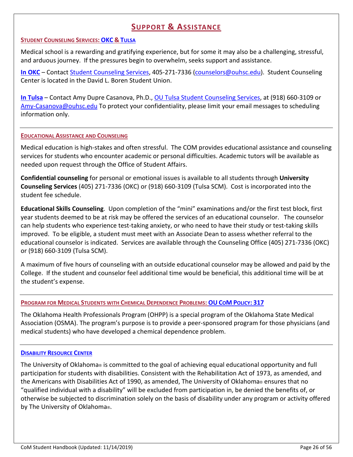# **SUPPORT & ASSISTANCE**

### **STUDENT COUNSELING SERVICES: [OKC](http://students.ouhsc.edu/SCS.aspx) & [TULSA](http://www.ou.edu/tulsa/)**

Medical school is a rewarding and gratifying experience, but for some it may also be a challenging, stressful, and arduous journey. If the pressures begin to overwhelm, seeks support and assistance.

**[In OKC](http://students.ouhsc.edu/SCS.aspx)** – Contact [Student Counseling Services,](http://students.ouhsc.edu/SCS.aspx) 405-271-7336 [\(counselors@ouhsc.edu\)](mailto:counselors@ouhsc.edu). Student Counseling Center is located in the David L. Boren Student Union.

**[In Tulsa](http://www.ou.edu/tulsastudentaffairs/resources/counseling)** – Contact Amy Dupre Casanova, Ph.D.[, OU Tulsa Student Counseling Services,](http://www.ou.edu/tulsastudentaffairs/resources/counseling) at (918) 660-3109 or [Amy-Casanova@ouhsc.edu](mailto:Amy-Casanova@ouhsc.edu) To protect your confidentiality, please limit your email messages to scheduling information only.

### **EDUCATIONAL ASSISTANCE AND COUNSELING**

Medical education is high-stakes and often stressful. The COM provides educational assistance and counseling services for students who encounter academic or personal difficulties. Academic tutors will be available as needed upon request through the Office of Student Affairs.

**Confidential counseling** for personal or emotional issues is available to all students through **University Counseling Services** (405) 271-7336 (OKC) or (918) 660-3109 (Tulsa SCM). Cost is incorporated into the student fee schedule.

**Educational Skills Counseling**. Upon completion of the "mini" examinations and/or the first test block, first year students deemed to be at risk may be offered the services of an educational counselor. The counselor can help students who experience test-taking anxiety, or who need to have their study or test-taking skills improved. To be eligible, a student must meet with an Associate Dean to assess whether referral to the educational counselor is indicated. Services are available through the Counseling Office (405) 271-7336 (OKC) or (918) 660-3109 (Tulsa SCM).

A maximum of five hours of counseling with an outside educational counselor may be allowed and paid by the College. If the student and counselor feel additional time would be beneficial, this additional time will be at the student's expense.

### **PROGRAM FOR MEDICAL STUDENTS WITH CHEMICAL DEPENDENCE PROBLEMS: OU COM [POLICY:](https://hippocrates.ouhsc.edu/policy/policy_view.cfm?policyNumber=317) 317**

The Oklahoma Health Professionals Program (OHPP) is a special program of the Oklahoma State Medical Association (OSMA). The program's purpose is to provide a peer-sponsored program for those physicians (and medical students) who have developed a chemical dependence problem.

### **[DISABILITY RESOURCE CENTER](http://www.ou.edu/drc)**

The University of Oklahoma® is committed to the goal of achieving equal educational opportunity and full participation for students with disabilities. Consistent with the Rehabilitation Act of 1973, as amended, and the Americans with Disabilities Act of 1990, as amended, The University of Oklahoma® ensures that no "qualified individual with a disability" will be excluded from participation in, be denied the benefits of, or otherwise be subjected to discrimination solely on the basis of disability under any program or activity offered by The University of Oklahoma®.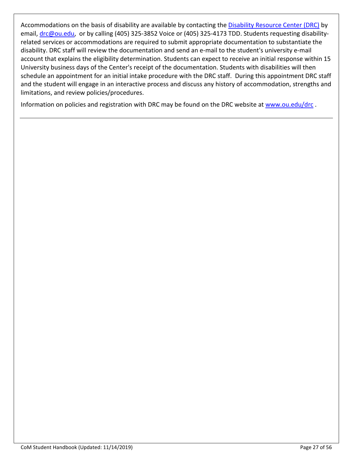Accommodations on the basis of disability are available by contacting the [Disability Resource Center \(DRC\)](http://www.ou.edu/drc) by email, [drc@ou.edu,](mailto:drc@ou.edu) or by calling (405) 325-3852 Voice or (405) 325-4173 TDD. Students requesting disabilityrelated services or accommodations are required to submit appropriate documentation to substantiate the disability. DRC staff will review the documentation and send an e-mail to the student's university e-mail account that explains the eligibility determination. Students can expect to receive an initial response within 15 University business days of the Center's receipt of the documentation. Students with disabilities will then schedule an appointment for an initial intake procedure with the DRC staff. During this appointment DRC staff and the student will engage in an interactive process and discuss any history of accommodation, strengths and limitations, and review policies/procedures.

Information on policies and registration with DRC may be found on the DRC website at [www.ou.edu/drc](http://www.ou.edu/drc).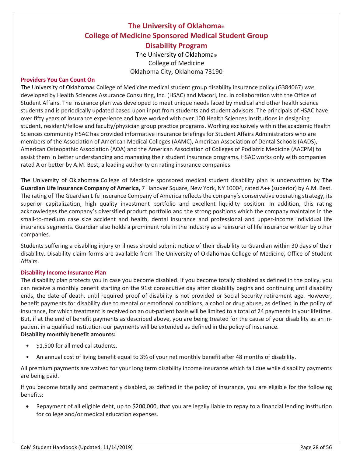# **The University of Oklahoma**® **College of Medicine Sponsored Medical Student Group Disability Program**

The University of Oklahoma® College of Medicine Oklahoma City, Oklahoma 73190

### **Providers You Can Count On**

The University of Oklahoma**®** College of Medicine medical student group disability insurance policy (G384067) was developed by Health Sciences Assurance Consulting, Inc. (HSAC) and Macori, Inc. in collaboration with the Office of Student Affairs. The insurance plan was developed to meet unique needs faced by medical and other health science students and is periodically updated based upon input from students and student advisors. The principals of HSAC have over fifty years of insurance experience and have worked with over 100 Health Sciences Institutions in designing student, resident/fellow and faculty/physician group practice programs. Working exclusively within the academic Health Sciences community HSAC has provided informative insurance briefings for Student Affairs Administrators who are members of the Association of American Medical Colleges (AAMC), American Association of Dental Schools (AADS), American Osteopathic Association (AOA) and the American Association of Colleges of Podiatric Medicine (AACPM) to assist them in better understanding and managing their student insurance programs. HSAC works only with companies rated A or better by A.M. Best, a leading authority on rating insurance companies.

The University of Oklahoma**®** College of Medicine sponsored medical student disability plan is underwritten by **The Guardian Life Insurance Company of America,** 7 Hanover Square, New York, NY 10004, rated A++ (superior) by A.M. Best. The rating of The Guardian Life Insurance Company of America reflects the company's conservative operating strategy, its superior capitalization, high quality investment portfolio and excellent liquidity position. In addition, this rating acknowledges the company's diversified product portfolio and the strong positions which the company maintains in the small-to-medium case size accident and health, dental insurance and professional and upper-income individual life insurance segments. Guardian also holds a prominent role in the industry as a reinsurer of life insurance written by other companies.

Students suffering a disabling injury or illness should submit notice of their disability to Guardian within 30 days of their disability. Disability claim forms are available from The University of Oklahoma**®** College of Medicine, Office of Student Affairs.

### **Disability Income Insurance Plan**

The disability plan protects you in case you become disabled. If you become totally disabled as defined in the policy, you can receive a monthly benefit starting on the 91st consecutive day after disability begins and continuing until disability ends, the date of death, until required proof of disability is not provided or Social Security retirement age. However, benefit payments for disability due to mental or emotional conditions, alcohol or drug abuse, as defined in the policy of insurance, for which treatment is received on an out-patient basis will be limited to a total of 24 payments in your lifetime. But, if at the end of benefit payments as described above, you are being treated for the cause of your disability as an inpatient in a qualified institution our payments will be extended as defined in the policy of insurance. **Disability monthly benefit amounts:**

# • \$1,500 for all medical students.

• An annual cost of living benefit equal to 3% of your net monthly benefit after 48 months of disability.

All premium payments are waived for your long term disability income insurance which fall due while disability payments are being paid.

If you become totally and permanently disabled, as defined in the policy of insurance, you are eligible for the following benefits:

• Repayment of all eligible debt, up to \$200,000, that you are legally liable to repay to a financial lending institution for college and/or medical education expenses.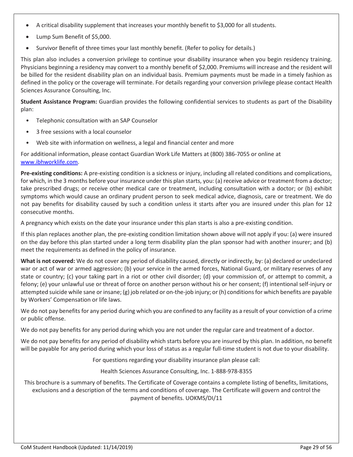- A critical disability supplement that increases your monthly benefit to \$3,000 for all students.
- Lump Sum Benefit of \$5,000.
- Survivor Benefit of three times your last monthly benefit. (Refer to policy for details.)

This plan also includes a conversion privilege to continue your disability insurance when you begin residency training. Physicians beginning a residency may convert to a monthly benefit of \$2,000. Premiums will increase and the resident will be billed for the resident disability plan on an individual basis. Premium payments must be made in a timely fashion as defined in the policy or the coverage will terminate. For details regarding your conversion privilege please contact Health Sciences Assurance Consulting, Inc.

**Student Assistance Program:** Guardian provides the following confidential services to students as part of the Disability plan:

- Telephonic consultation with an SAP Counselor
- 3 free sessions with a local counselor
- Web site with information on wellness, a legal and financial center and more

For additional information, please contact Guardian Work Life Matters at (800) 386-7055 or online at [www.ibhworklife.com.](http://www.ibhworklife.com/)

**Pre-existing conditions:** A pre-existing condition is a sickness or injury, including all related conditions and complications, for which, in the 3 months before your insurance under this plan starts, you: (a) receive advice or treatment from a doctor; take prescribed drugs; or receive other medical care or treatment, including consultation with a doctor; or (b) exhibit symptoms which would cause an ordinary prudent person to seek medical advice, diagnosis, care or treatment. We do not pay benefits for disability caused by such a condition unless it starts after you are insured under this plan for 12 consecutive months.

A pregnancy which exists on the date your insurance under this plan starts is also a pre-existing condition.

If this plan replaces another plan, the pre-existing condition limitation shown above will not apply if you: (a) were insured on the day before this plan started under a long term disability plan the plan sponsor had with another insurer; and (b) meet the requirements as defined in the policy of insurance.

**What is not covered:** We do not cover any period of disability caused, directly or indirectly, by: (a) declared or undeclared war or act of war or armed aggression; (b) your service in the armed forces, National Guard, or military reserves of any state or country; (c) your taking part in a riot or other civil disorder; (d) your commission of, or attempt to commit, a felony; (e) your unlawful use or threat of force on another person without his or her consent; (f) intentional self-injury or attempted suicide while sane or insane; (g) job related or on-the-job injury; or (h) conditions for which benefits are payable by Workers' Compensation or life laws.

We do not pay benefits for any period during which you are confined to any facility as a result of your conviction of a crime or public offense.

We do not pay benefits for any period during which you are not under the regular care and treatment of a doctor.

We do not pay benefits for any period of disability which starts before you are insured by this plan. In addition, no benefit will be payable for any period during which your loss of status as a regular full-time student is not due to your disability.

For questions regarding your disability insurance plan please call:

Health Sciences Assurance Consulting, Inc. 1-888-978-8355

This brochure is a summary of benefits. The Certificate of Coverage contains a complete listing of benefits, limitations, exclusions and a description of the terms and conditions of coverage. The Certificate will govern and control the payment of benefits. UOKMS/DI/11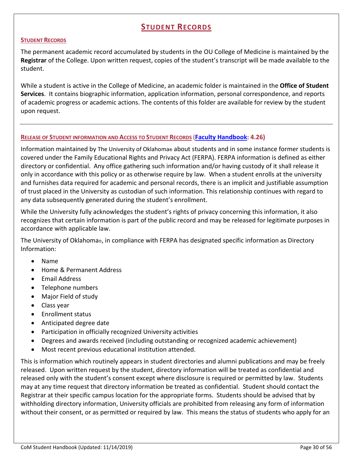# **STUDENT RECORDS**

### **STUDENT RECORDS**

The permanent academic record accumulated by students in the OU College of Medicine is maintained by the **Registrar** of the College. Upon written request, copies of the student's transcript will be made available to the student.

While a student is active in the College of Medicine, an academic folder is maintained in the **Office of Student Services**. It contains biographic information, application information, personal correspondence, and reports of academic progress or academic actions. The contents of this folder are available for review by the student upon request.

### **RELEASE OF STUDENT INFORMATION AND ACCESS TO STUDENT RECORDS** (**[Faculty Handbook:](http://www.ouhsc.edu/provost/documents/FacultyHandbookOUHSC.pdf) 4.26)**

Information maintained by The University of Oklahoma**®** about students and in some instance former students is covered under the Family Educational Rights and Privacy Act (FERPA). FERPA information is defined as either directory or confidential. Any office gathering such information and/or having custody of it shall release it only in accordance with this policy or as otherwise require by law. When a student enrolls at the university and furnishes data required for academic and personal records, there is an implicit and justifiable assumption of trust placed in the University as custodian of such information. This relationship continues with regard to any data subsequently generated during the student's enrollment.

While the University fully acknowledges the student's rights of privacy concerning this information, it also recognizes that certain information is part of the public record and may be released for legitimate purposes in accordance with applicable law.

The University of Oklahoma®, in compliance with FERPA has designated specific information as Directory Information:

- Name
- Home & Permanent Address
- Email Address
- Telephone numbers
- Major Field of study
- Class year
- Enrollment status
- Anticipated degree date
- Participation in officially recognized University activities
- Degrees and awards received (including outstanding or recognized academic achievement)
- Most recent previous educational institution attended.

This is information which routinely appears in student directories and alumni publications and may be freely released. Upon written request by the student, directory information will be treated as confidential and released only with the student's consent except where disclosure is required or permitted by law. Students may at any time request that directory information be treated as confidential. Student should contact the Registrar at their specific campus location for the appropriate forms. Students should be advised that by withholding directory information, University officials are prohibited from releasing any form of information without their consent, or as permitted or required by law. This means the status of students who apply for an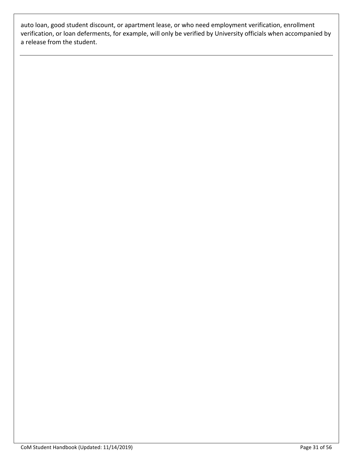auto loan, good student discount, or apartment lease, or who need employment verification, enrollment verification, or loan deferments, for example, will only be verified by University officials when accompanied by a release from the student.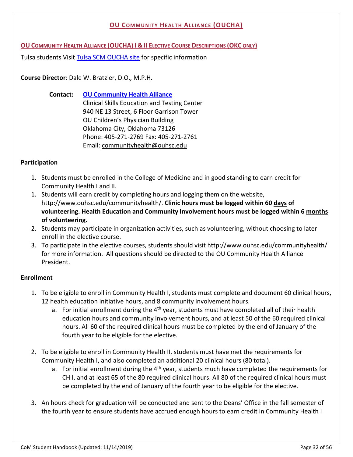### **OU COMMUNITY HEALTH ALLIANCE (OUCHA)**

**OU COMMUNITY HEALTH ALLIANCE (OUCHA) I & II ELECTIVE COURSE DESCRIPTIONS (OKC ONLY)**

Tulsa students Visit [Tulsa SCM OUCHA site](http://www.ou.edu/tulsa/community_medicine/md-program-scm-track/community-health-alliance-elective) for specific information

### **Course Director**[: Dale W. Bratzler, D.O., M.P.H.](https://publichealth.ouhsc.edu/Faculty-and-Staff/Faculty-and-Staff-Contacts/Health-Administration-and-Policy/Bratzler)

**Contact: [OU Community Health Alliance](https://ouhsc.edu/communityhealth/)** Clinical Skills Education and Testing Center 940 NE 13 Street, 6 Floor Garrison Tower OU Children's Physician Building Oklahoma City, Oklahoma 73126 Phone: 405-271-2769 Fax: 405-271-2761 Email: [communityhealth@ouhsc.edu](mailto:communityhealth@ouhsc.edu)

### **Participation**

- 1. Students must be enrolled in the College of Medicine and in good standing to earn credit for Community Health I and II.
- 1. Students will earn credit by completing hours and logging them on the website, http://www.ouhsc.edu/communityhealth/. **Clinic hours must be logged within 60 days of volunteering. Health Education and Community Involvement hours must be logged within 6 months of volunteering.**
- 2. Students may participate in organization activities, such as volunteering, without choosing to later enroll in the elective course.
- 3. To participate in the elective courses, students should visit http://www.ouhsc.edu/communityhealth/ for more information. All questions should be directed to the OU Community Health Alliance President.

### **Enrollment**

- 1. To be eligible to enroll in Community Health I, students must complete and document 60 clinical hours, 12 health education initiative hours, and 8 community involvement hours.
	- a. For initial enrollment during the  $4<sup>th</sup>$  year, students must have completed all of their health education hours and community involvement hours, and at least 50 of the 60 required clinical hours. All 60 of the required clinical hours must be completed by the end of January of the fourth year to be eligible for the elective.
- 2. To be eligible to enroll in Community Health II, students must have met the requirements for Community Health I, and also completed an additional 20 clinical hours (80 total).
	- a. For initial enrollment during the  $4<sup>th</sup>$  year, students much have completed the requirements for CH I, and at least 65 of the 80 required clinical hours. All 80 of the required clinical hours must be completed by the end of January of the fourth year to be eligible for the elective.
- 3. An hours check for graduation will be conducted and sent to the Deans' Office in the fall semester of the fourth year to ensure students have accrued enough hours to earn credit in Community Health I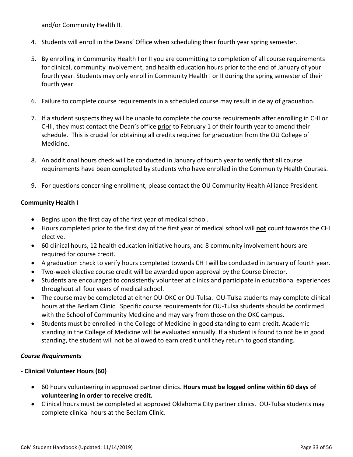and/or Community Health II.

- 4. Students will enroll in the Deans' Office when scheduling their fourth year spring semester.
- 5. By enrolling in Community Health I or II you are committing to completion of all course requirements for clinical, community involvement, and health education hours prior to the end of January of your fourth year. Students may only enroll in Community Health I or II during the spring semester of their fourth year.
- 6. Failure to complete course requirements in a scheduled course may result in delay of graduation.
- 7. If a student suspects they will be unable to complete the course requirements after enrolling in CHI or CHII, they must contact the Dean's office prior to February 1 of their fourth year to amend their schedule. This is crucial for obtaining all credits required for graduation from the OU College of Medicine.
- 8. An additional hours check will be conducted in January of fourth year to verify that all course requirements have been completed by students who have enrolled in the Community Health Courses.
- 9. For questions concerning enrollment, please contact the OU Community Health Alliance President.

### **Community Health I**

- Begins upon the first day of the first year of medical school.
- Hours completed prior to the first day of the first year of medical school will **not** count towards the CHI elective.
- 60 clinical hours, 12 health education initiative hours, and 8 community involvement hours are required for course credit.
- A graduation check to verify hours completed towards CH I will be conducted in January of fourth year.
- Two-week elective course credit will be awarded upon approval by the Course Director.
- Students are encouraged to consistently volunteer at clinics and participate in educational experiences throughout all four years of medical school.
- The course may be completed at either OU-OKC or OU-Tulsa. OU-Tulsa students may complete clinical hours at the Bedlam Clinic. Specific course requirements for OU-Tulsa students should be confirmed with the School of Community Medicine and may vary from those on the OKC campus.
- Students must be enrolled in the College of Medicine in good standing to earn credit. Academic standing in the College of Medicine will be evaluated annually. If a student is found to not be in good standing, the student will not be allowed to earn credit until they return to good standing.

### *Course Requirements*

### **- Clinical Volunteer Hours (60)**

- 60 hours volunteering in approved partner clinics. **Hours must be logged online within 60 days of volunteering in order to receive credit.**
- Clinical hours must be completed at approved Oklahoma City partner clinics. OU-Tulsa students may complete clinical hours at the Bedlam Clinic.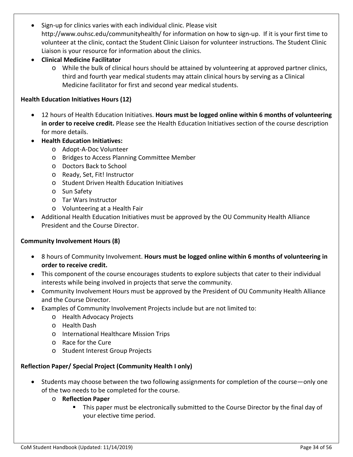- Sign-up for clinics varies with each individual clinic. Please visit http://www.ouhsc.edu/communityhealth/ for information on how to sign-up. If it is your first time to volunteer at the clinic, contact the Student Clinic Liaison for volunteer instructions. The Student Clinic Liaison is your resource for information about the clinics.
- **Clinical Medicine Facilitator** 
	- o While the bulk of clinical hours should be attained by volunteering at approved partner clinics, third and fourth year medical students may attain clinical hours by serving as a Clinical Medicine facilitator for first and second year medical students.

### **Health Education Initiatives Hours (12)**

- 12 hours of Health Education Initiatives. **Hours must be logged online within 6 months of volunteering in order to receive credit.** Please see the Health Education Initiatives section of the course description for more details.
- **Health Education Initiatives:**
	- o Adopt-A-Doc Volunteer
	- o Bridges to Access Planning Committee Member
	- o Doctors Back to School
	- o Ready, Set, Fit! Instructor
	- o Student Driven Health Education Initiatives
	- o Sun Safety
	- o Tar Wars Instructor
	- o Volunteering at a Health Fair
- Additional Health Education Initiatives must be approved by the OU Community Health Alliance President and the Course Director.

### **Community Involvement Hours (8)**

- 8 hours of Community Involvement. **Hours must be logged online within 6 months of volunteering in order to receive credit.**
- This component of the course encourages students to explore subjects that cater to their individual interests while being involved in projects that serve the community.
- Community Involvement Hours must be approved by the President of OU Community Health Alliance and the Course Director.
- Examples of Community Involvement Projects include but are not limited to:
	- o Health Advocacy Projects
	- o Health Dash
	- o International Healthcare Mission Trips
	- o Race for the Cure
	- o Student Interest Group Projects

### **Reflection Paper/ Special Project (Community Health I only)**

- Students may choose between the two following assignments for completion of the course—only one of the two needs to be completed for the course.
	- o **Reflection Paper**
		- This paper must be electronically submitted to the Course Director by the final day of your elective time period.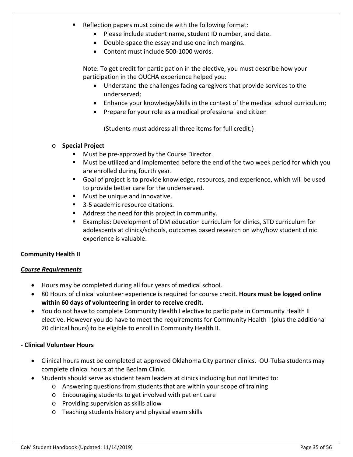- **Reflection papers must coincide with the following format:** 
	- Please include student name, student ID number, and date.
	- Double-space the essay and use one inch margins.
	- Content must include 500-1000 words.

Note: To get credit for participation in the elective, you must describe how your participation in the OUCHA experience helped you:

- Understand the challenges facing caregivers that provide services to the underserved;
- Enhance your knowledge/skills in the context of the medical school curriculum;
- Prepare for your role as a medical professional and citizen

(Students must address all three items for full credit.)

### o **Special Project**

- Must be pre-approved by the Course Director.
- Must be utilized and implemented before the end of the two week period for which you are enrolled during fourth year.
- Goal of project is to provide knowledge, resources, and experience, which will be used to provide better care for the underserved.
- **Must be unique and innovative.**
- 3-5 academic resource citations.
- Address the need for this project in community.
- Examples: Development of DM education curriculum for clinics, STD curriculum for adolescents at clinics/schools, outcomes based research on why/how student clinic experience is valuable.

### **Community Health II**

### *Course Requirements*

- Hours may be completed during all four years of medical school.
- 80 Hours of clinical volunteer experience is required for course credit. **Hours must be logged online within 60 days of volunteering in order to receive credit.**
- You do not have to complete Community Health I elective to participate in Community Health II elective. However you do have to meet the requirements for Community Health I (plus the additional 20 clinical hours) to be eligible to enroll in Community Health II.

### **- Clinical Volunteer Hours**

- Clinical hours must be completed at approved Oklahoma City partner clinics. OU-Tulsa students may complete clinical hours at the Bedlam Clinic.
- Students should serve as student team leaders at clinics including but not limited to:
	- o Answering questions from students that are within your scope of training
	- o Encouraging students to get involved with patient care
	- o Providing supervision as skills allow
	- o Teaching students history and physical exam skills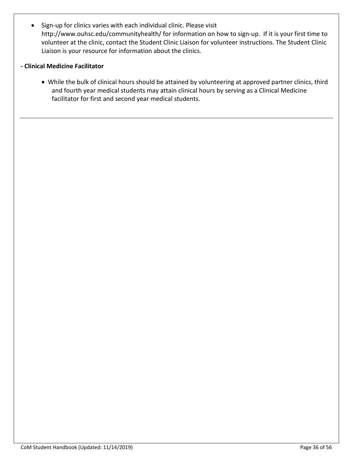• Sign-up for clinics varies with each individual clinic. Please visit http://www.ouhsc.edu/communityhealth/ for information on how to sign-up. If it is your first time to volunteer at the clinic, contact the Student Clinic Liaison for volunteer instructions. The Student Clinic Liaison is your resource for information about the clinics.

### **- Clinical Medicine Facilitator**

• While the bulk of clinical hours should be attained by volunteering at approved partner clinics, third and fourth year medical students may attain clinical hours by serving as a Clinical Medicine facilitator for first and second year medical students.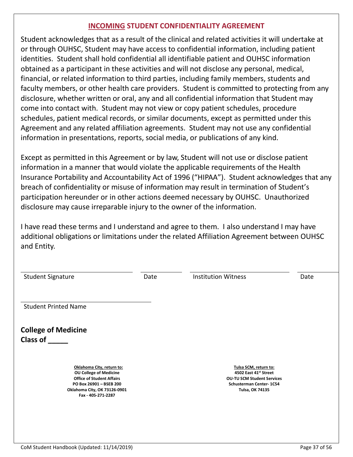# **INCOMING STUDENT CONFIDENTIALITY AGREEMENT**

Student acknowledges that as a result of the clinical and related activities it will undertake at or through OUHSC, Student may have access to confidential information, including patient identities. Student shall hold confidential all identifiable patient and OUHSC information obtained as a participant in these activities and will not disclose any personal, medical, financial, or related information to third parties, including family members, students and faculty members, or other health care providers. Student is committed to protecting from any disclosure, whether written or oral, any and all confidential information that Student may come into contact with. Student may not view or copy patient schedules, procedure schedules, patient medical records, or similar documents, except as permitted under this Agreement and any related affiliation agreements. Student may not use any confidential information in presentations, reports, social media, or publications of any kind.

Except as permitted in this Agreement or by law, Student will not use or disclose patient information in a manner that would violate the applicable requirements of the Health Insurance Portability and Accountability Act of 1996 ("HIPAA"). Student acknowledges that any breach of confidentiality or misuse of information may result in termination of Student's participation hereunder or in other actions deemed necessary by OUHSC. Unauthorized disclosure may cause irreparable injury to the owner of the information.

I have read these terms and I understand and agree to them. I also understand I may have additional obligations or limitations under the related Affiliation Agreement between OUHSC and Entity.

| <b>Student Signature</b>                                                                                          | Date | <b>Institution Witness</b>                                                              | Date |
|-------------------------------------------------------------------------------------------------------------------|------|-----------------------------------------------------------------------------------------|------|
| <b>Student Printed Name</b>                                                                                       |      |                                                                                         |      |
| <b>College of Medicine</b><br><b>Class of</b>                                                                     |      |                                                                                         |      |
| Oklahoma City, return to:<br><b>OU College of Medicine</b>                                                        |      | Tulsa SCM, return to:<br>4502 East 41st Street                                          |      |
| <b>Office of Student Affairs</b><br>PO Box 26901 - BSEB 200<br>Oklahoma City, OK 73126-0901<br>Fax - 405-271-2287 |      | <b>OU-TU SCM Student Services</b><br>Schusterman Center- 1C54<br><b>Tulsa, OK 74135</b> |      |
|                                                                                                                   |      |                                                                                         |      |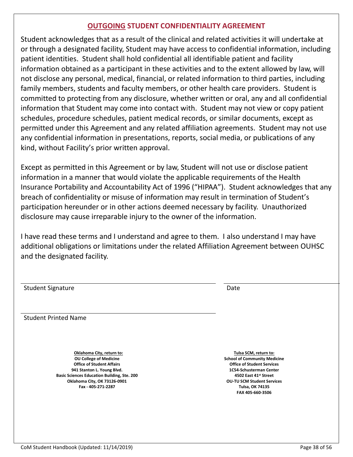# **OUTGOING STUDENT CONFIDENTIALITY AGREEMENT**

Student acknowledges that as a result of the clinical and related activities it will undertake at or through a designated facility, Student may have access to confidential information, including patient identities. Student shall hold confidential all identifiable patient and facility information obtained as a participant in these activities and to the extent allowed by law, will not disclose any personal, medical, financial, or related information to third parties, including family members, students and faculty members, or other health care providers. Student is committed to protecting from any disclosure, whether written or oral, any and all confidential information that Student may come into contact with. Student may not view or copy patient schedules, procedure schedules, patient medical records, or similar documents, except as permitted under this Agreement and any related affiliation agreements. Student may not use any confidential information in presentations, reports, social media, or publications of any kind, without Facility's prior written approval.

Except as permitted in this Agreement or by law, Student will not use or disclose patient information in a manner that would violate the applicable requirements of the Health Insurance Portability and Accountability Act of 1996 ("HIPAA"). Student acknowledges that any breach of confidentiality or misuse of information may result in termination of Student's participation hereunder or in other actions deemed necessary by facility. Unauthorized disclosure may cause irreparable injury to the owner of the information.

I have read these terms and I understand and agree to them. I also understand I may have additional obligations or limitations under the related Affiliation Agreement between OUHSC and the designated facility.

| <b>Student Signature</b>                                                                                                                                                                                                                 | Date                                                                                                                                                                                                                                     |
|------------------------------------------------------------------------------------------------------------------------------------------------------------------------------------------------------------------------------------------|------------------------------------------------------------------------------------------------------------------------------------------------------------------------------------------------------------------------------------------|
| <b>Student Printed Name</b>                                                                                                                                                                                                              |                                                                                                                                                                                                                                          |
| Oklahoma City, return to:<br><b>OU College of Medicine</b><br><b>Office of Student Affairs</b><br>941 Stanton L. Young Blvd.<br><b>Basic Sciences Education Building, Ste. 200</b><br>Oklahoma City, OK 73126-0901<br>Fax - 405-271-2287 | Tulsa SCM, return to:<br><b>School of Community Medicine</b><br><b>Office of Student Services</b><br>1C54-Schusterman Center<br>4502 East 41st Street<br><b>OU-TU SCM Student Services</b><br><b>Tulsa, OK 74135</b><br>FAX 405-660-3506 |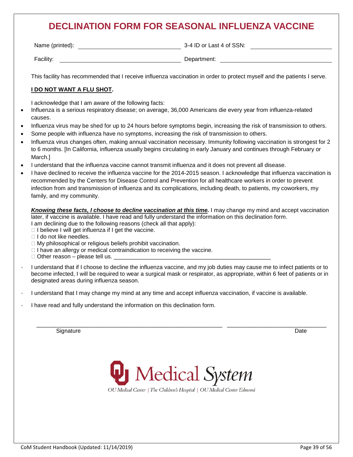# **DECLINATION FORM FOR SEASONAL INFLUENZA VACCINE**

| Name (printed): | 3-4 ID or Last 4 of SSN: |
|-----------------|--------------------------|
| Facility:       | Department:              |

This facility has recommended that I receive influenza vaccination in order to protect myself and the patients I serve.

### **I DO NOT WANT A FLU SHOT.**

I acknowledge that I am aware of the following facts:

- Influenza is a serious respiratory disease; on average, 36,000 Americans die every year from influenza-related causes.
- Influenza virus may be shed for up to 24 hours before symptoms begin, increasing the risk of transmission to others.
- Some people with influenza have no symptoms, increasing the risk of transmission to others.
- Influenza virus changes often, making annual vaccination necessary. Immunity following vaccination is strongest for 2 to 6 months. [In California, influenza usually begins circulating in early January and continues through February or March.]
- I understand that the influenza vaccine cannot transmit influenza and it does not prevent all disease.
- I have declined to receive the influenza vaccine for the 2014-2015 season. I acknowledge that influenza vaccination is recommended by the Centers for Disease Control and Prevention for all healthcare workers in order to prevent infection from and transmission of influenza and its complications, including death, to patients, my coworkers, my family, and my community.

*Knowing these facts, I choose to decline vaccination at this time.* **I may change my mind and accept vaccination** later, if vaccine is available. I have read and fully understand the information on this declination form. I am declining due to the following reasons (check all that apply):

 $\Box$  I believe I will get influenza if I get the vaccine.

□ I do not like needles.

- $\Box$  My philosophical or religious beliefs prohibit vaccination.
- $\Box$  I have an allergy or medical contraindication to receiving the vaccine.
- $\Box$  Other reason please tell us.
- I understand that if I choose to decline the influenza vaccine, and my job duties may cause me to infect patients or to become infected, I will be required to wear a surgical mask or respirator, as appropriate, within 6 feet of patients or in designated areas during influenza season.
- *◦* I understand that I may change my mind at any time and accept influenza vaccination, if vaccine is available.
- *l* have read and fully understand the information on this declination form.

Signature **Date of the Contract of the Contract of the Contract of the Contract of the Date of the Date of the D** 



\_\_\_\_\_\_\_\_\_\_\_\_\_\_\_\_\_\_\_\_\_\_\_\_\_\_\_\_\_\_\_\_\_\_\_\_\_\_\_\_\_\_\_\_\_\_\_\_\_\_\_\_\_\_\_\_\_\_ \_\_\_\_\_\_\_\_\_\_\_\_\_\_\_\_\_\_\_\_\_\_\_\_\_\_\_\_\_\_\_

OU Medical Center | The Children's Hospital | OU Medical Center Edmond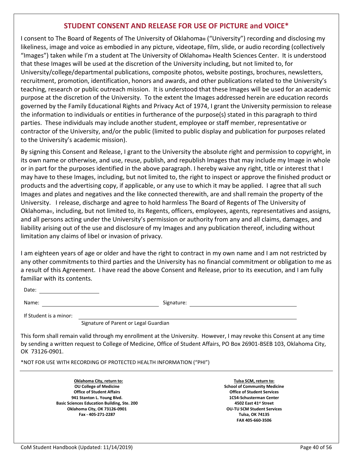### **STUDENT CONSENT AND RELEASE FOR USE OF PICTURE and VOICE\***

I consent to The Board of Regents of The University of Oklahoma**®** ("University") recording and disclosing my likeliness, image and voice as embodied in any picture, videotape, film, slide, or audio recording (collectively "Images") taken while I'm a student at The University of Oklahoma**®** Health Sciences Center. It is understood that these Images will be used at the discretion of the University including, but not limited to, for University/college/departmental publications, composite photos, website postings, brochures, newsletters, recruitment, promotion, identification, honors and awards, and other publications related to the University's teaching, research or public outreach mission. It is understood that these Images will be used for an academic purpose at the discretion of the University. To the extent the Images addressed herein are education records governed by the Family Educational Rights and Privacy Act of 1974, I grant the University permission to release the information to individuals or entities in furtherance of the purpose(s) stated in this paragraph to third parties. These individuals may include another student, employee or staff member, representative or contractor of the University, and/or the public (limited to public display and publication for purposes related to the University's academic mission).

By signing this Consent and Release, I grant to the University the absolute right and permission to copyright, in its own name or otherwise, and use, reuse, publish, and republish Images that may include my Image in whole or in part for the purposes identified in the above paragraph. I hereby waive any right, title or interest that I may have to these Images, including, but not limited to, the right to inspect or approve the finished product or products and the advertising copy, if applicable, or any use to which it may be applied. I agree that all such Images and plates and negatives and the like connected therewith, are and shall remain the property of the University. I release, discharge and agree to hold harmless The Board of Regents of The University of Oklahoma®, including, but not limited to, its Regents, officers, employees, agents, representatives and assigns, and all persons acting under the University's permission or authority from any and all claims, damages, and liability arising out of the use and disclosure of my Images and any publication thereof, including without limitation any claims of libel or invasion of privacy.

I am eighteen years of age or older and have the right to contract in my own name and I am not restricted by any other commitments to third parties and the University has no financial commitment or obligation to me as a result of this Agreement. I have read the above Consent and Release, prior to its execution, and I am fully familiar with its contents.

Date:

Name: Signature: Signature: Signature: Signature: Signature: Signature: Signature: Signature: Signature: Signature: Signature: Signature: Signature: Signature: Signature: Signature: Signature: Signature: Signature: Signatu

If Student is a minor:

Signature of Parent or Legal Guardian

This form shall remain valid through my enrollment at the University. However, I may revoke this Consent at any time by sending a written request to College of Medicine, Office of Student Affairs, PO Box 26901-BSEB 103, Oklahoma City, OK 73126-0901.

\*NOT FOR USE WITH RECORDING OF PROTECTED HEALTH INFORMATION ("PHI")

**Oklahoma City, return to: OU College of Medicine Office of Student Affairs 941 Stanton L. Young Blvd. Basic Sciences Education Building, Ste. 200 Oklahoma City, OK 73126-0901 Fax - 405-271-2287**

**Tulsa SCM, return to: School of Community Medicine Office of Student Services 1C54-Schusterman Center 4502 East 41st Street OU-TU SCM Student Services Tulsa, OK 74135 FAX 405-660-3506**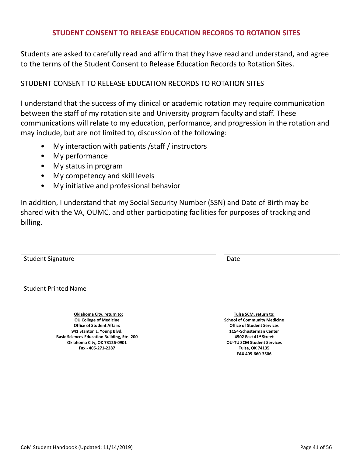# **STUDENT CONSENT TO RELEASE EDUCATION RECORDS TO ROTATION SITES**

Students are asked to carefully read and affirm that they have read and understand, and agree to the terms of the Student Consent to Release Education Records to Rotation Sites.

# STUDENT CONSENT TO RELEASE EDUCATION RECORDS TO ROTATION SITES

I understand that the success of my clinical or academic rotation may require communication between the staff of my rotation site and University program faculty and staff. These communications will relate to my education, performance, and progression in the rotation and may include, but are not limited to, discussion of the following:

- My interaction with patients /staff / instructors
- My performance
- My status in program
- My competency and skill levels
- My initiative and professional behavior

In addition, I understand that my Social Security Number (SSN) and Date of Birth may be shared with the VA, OUMC, and other participating facilities for purposes of tracking and billing.

Student Signature Date Date of the Student Signature Date Date Date Date Date

Student Printed Name

**Oklahoma City, return to: OU College of Medicine Office of Student Affairs 941 Stanton L. Young Blvd. Basic Sciences Education Building, Ste. 200 Oklahoma City, OK 73126-0901 Fax - 405-271-2287**

**Tulsa SCM, return to: School of Community Medicine Office of Student Services 1C54-Schusterman Center 4502 East 41st Street OU-TU SCM Student Services Tulsa, OK 74135 FAX 405-660-3506**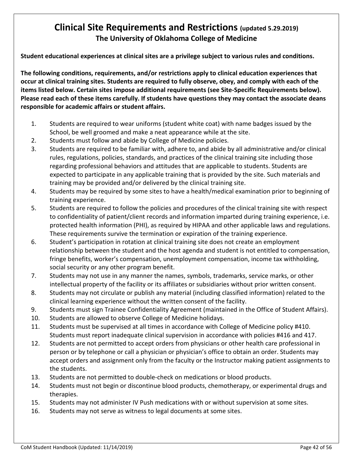# **Clinical Site Requirements and Restrictions (updated 5.29.2019) The University of Oklahoma College of Medicine**

**Student educational experiences at clinical sites are a privilege subject to various rules and conditions.**

**The following conditions, requirements, and/or restrictions apply to clinical education experiences that occur at clinical training sites. Students are required to fully observe, obey, and comply with each of the items listed below. Certain sites impose additional requirements (see Site-Specific Requirements below). Please read each of these items carefully. If students have questions they may contact the associate deans responsible for academic affairs or student affairs.**

- 1. Students are required to wear uniforms (student white coat) with name badges issued by the School, be well groomed and make a neat appearance while at the site.
- 2. Students must follow and abide by College of Medicine policies.
- 3. Students are required to be familiar with, adhere to, and abide by all administrative and/or clinical rules, regulations, policies, standards, and practices of the clinical training site including those regarding professional behaviors and attitudes that are applicable to students. Students are expected to participate in any applicable training that is provided by the site. Such materials and training may be provided and/or delivered by the clinical training site.
- 4. Students may be required by some sites to have a health/medical examination prior to beginning of training experience.
- 5. Students are required to follow the policies and procedures of the clinical training site with respect to confidentiality of patient/client records and information imparted during training experience, i.e. protected health information (PHI), as required by HIPAA and other applicable laws and regulations. These requirements survive the termination or expiration of the training experience.
- 6. Student's participation in rotation at clinical training site does not create an employment relationship between the student and the host agenda and student is not entitled to compensation, fringe benefits, worker's compensation, unemployment compensation, income tax withholding, social security or any other program benefit.
- 7. Students may not use in any manner the names, symbols, trademarks, service marks, or other intellectual property of the facility or its affiliates or subsidiaries without prior written consent.
- 8. Students may not circulate or publish any material (including classified information) related to the clinical learning experience without the written consent of the facility.
- 9. Students must sign Trainee Confidentiality Agreement (maintained in the Office of Student Affairs).
- 10. Students are allowed to observe College of Medicine holidays.
- 11. Students must be supervised at all times in accordance with College of Medicine policy #410. Students must report inadequate clinical supervision in accordance with policies #416 and 417.
- 12. Students are not permitted to accept orders from physicians or other health care professional in person or by telephone or call a physician or physician's office to obtain an order. Students may accept orders and assignment only from the faculty or the Instructor making patient assignments to the students.
- 13. Students are not permitted to double-check on medications or blood products.
- 14. Students must not begin or discontinue blood products, chemotherapy, or experimental drugs and therapies.
- 15. Students may not administer IV Push medications with or without supervision at some sites.
- 16. Students may not serve as witness to legal documents at some sites.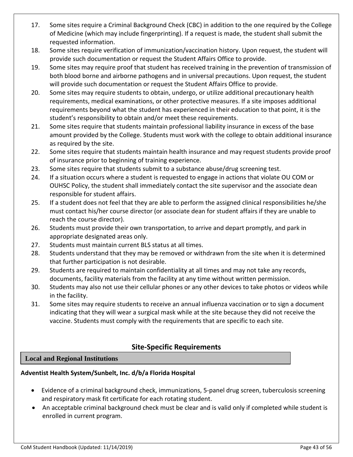- 17. Some sites require a Criminal Background Check (CBC) in addition to the one required by the College of Medicine (which may include fingerprinting). If a request is made, the student shall submit the requested information.
- 18. Some sites require verification of immunization/vaccination history. Upon request, the student will provide such documentation or request the Student Affairs Office to provide.
- 19. Some sites may require proof that student has received training in the prevention of transmission of both blood borne and airborne pathogens and in universal precautions. Upon request, the student will provide such documentation or request the Student Affairs Office to provide.
- 20. Some sites may require students to obtain, undergo, or utilize additional precautionary health requirements, medical examinations, or other protective measures. If a site imposes additional requirements beyond what the student has experienced in their education to that point, it is the student's responsibility to obtain and/or meet these requirements.
- 21. Some sites require that students maintain professional liability insurance in excess of the base amount provided by the College. Students must work with the college to obtain additional insurance as required by the site.
- 22. Some sites require that students maintain health insurance and may request students provide proof of insurance prior to beginning of training experience.
- 23. Some sites require that students submit to a substance abuse/drug screening test.
- 24. If a situation occurs where a student is requested to engage in actions that violate OU COM or OUHSC Policy, the student shall immediately contact the site supervisor and the associate dean responsible for student affairs.
- 25. If a student does not feel that they are able to perform the assigned clinical responsibilities he/she must contact his/her course director (or associate dean for student affairs if they are unable to reach the course director).
- 26. Students must provide their own transportation, to arrive and depart promptly, and park in appropriate designated areas only.
- 27. Students must maintain current BLS status at all times.
- 28. Students understand that they may be removed or withdrawn from the site when it is determined that further participation is not desirable.
- 29. Students are required to maintain confidentiality at all times and may not take any records, documents, facility materials from the facility at any time without written permission.
- 30. Students may also not use their cellular phones or any other devices to take photos or videos while in the facility.
- 31. Some sites may require students to receive an annual influenza vaccination or to sign a document indicating that they will wear a surgical mask while at the site because they did not receive the vaccine. Students must comply with the requirements that are specific to each site.

# **Site-Specific Requirements**

### **Local and Regional Institutions**

### **Adventist Health System/Sunbelt, Inc. d/b/a Florida Hospital**

- Evidence of a criminal background check, immunizations, 5-panel drug screen, tuberculosis screening and respiratory mask fit certificate for each rotating student.
- An acceptable criminal background check must be clear and is valid only if completed while student is enrolled in current program.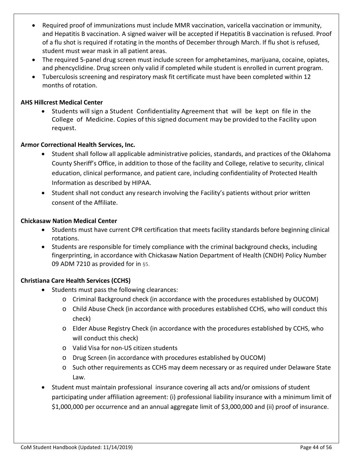- Required proof of immunizations must include MMR vaccination, varicella vaccination or immunity, and Hepatitis B vaccination. A signed waiver will be accepted if Hepatitis B vaccination is refused. Proof of a flu shot is required if rotating in the months of December through March. If flu shot is refused, student must wear mask in all patient areas.
- The required 5-panel drug screen must include screen for amphetamines, marijuana, cocaine, opiates, and phencyclidine. Drug screen only valid if completed while student is enrolled in current program.
- Tuberculosis screening and respiratory mask fit certificate must have been completed within 12 months of rotation.

### **AHS Hillcrest Medical Center**

• Students will sign a Student Confidentiality Agreement that will be kept on file in the College of Medicine. Copies of this signed document may be provided to the Facility upon request.

### **Armor Correctional Health Services, Inc.**

- Student shall follow all applicable administrative policies, standards, and practices of the Oklahoma County Sheriff's Office, in addition to those of the facility and College, relative to security, clinical education, clinical performance, and patient care, including confidentiality of Protected Health Information as described by HIPAA.
- Student shall not conduct any research involving the Facility's patients without prior written consent of the Affiliate.

### **Chickasaw Nation Medical Center**

- Students must have current CPR certification that meets facility standards before beginning clinical rotations.
- Students are responsible for timely compliance with the criminal background checks, including fingerprinting, in accordance with Chickasaw Nation Department of Health (CNDH) Policy Number 09 ADM 7210 as provided for in §5.

### **Christiana Care Health Services (CCHS)**

- Students must pass the following clearances:
	- o Criminal Background check (in accordance with the procedures established by OUCOM)
	- o Child Abuse Check (in accordance with procedures established CCHS, who will conduct this check)
	- o Elder Abuse Registry Check (in accordance with the procedures established by CCHS, who will conduct this check)
	- o Valid Visa for non-US citizen students
	- o Drug Screen (in accordance with procedures established by OUCOM)
	- o Such other requirements as CCHS may deem necessary or as required under Delaware State Law.
- Student must maintain professional insurance covering all acts and/or omissions of student participating under affiliation agreement: (i) professional liability insurance with a minimum limit of \$1,000,000 per occurrence and an annual aggregate limit of \$3,000,000 and (ii) proof of insurance.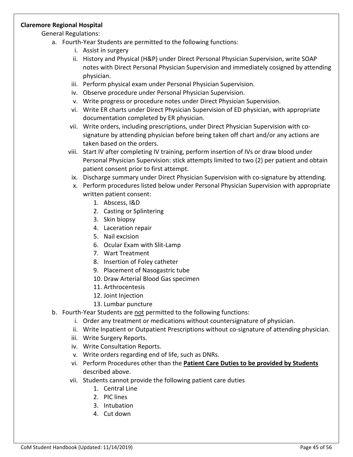### **Claremore Regional Hospital**

General Regulations:

- a. Fourth-Year Students are permitted to the following functions:
	- i. Assist in surgery
	- ii. History and Physical (H&P) under Direct Personal Physician Supervision, write SOAP notes with Direct Personal Physician Supervision and immediately cosigned by attending physician.
	- iii. Perform physical exam under Personal Physician Supervision.
	- iv. Observe procedure under Personal Physician Supervision.
	- v. Write progress or procedure notes under Direct Physician Supervision.
	- vi. Write ER charts under Direct Physician Supervision of ED physician, with appropriate documentation completed by ER physician.
	- vii. Write orders, including prescriptions, under Direct Physician Supervision with cosignature by attending physician before being taken off chart and/or any actions are taken based on the orders.
	- viii. Start IV after completing IV training, perform insertion of IVs or draw blood under Personal Physician Supervision: stick attempts limited to two (2) per patient and obtain patient consent prior to first attempt.
	- ix. Discharge summary under Direct Physician Supervision with co-signature by attending.
	- x. Perform procedures listed below under Personal Physician Supervision with appropriate written patient consent:
		- 1. Abscess, I&D
		- 2. Casting or Splintering
		- 3. Skin biopsy
		- 4. Laceration repair
		- 5. Nail excision
		- 6. Ocular Exam with Slit-Lamp
		- 7. Wart Treatment
		- 8. Insertion of Foley catheter
		- 9. Placement of Nasogastric tube
		- 10. Draw Arterial Blood Gas specimen
		- 11. Arthrocentesis
		- 12. Joint Injection
		- 13. Lumbar puncture
- b. Fourth-Year Students are not permitted to the following functions:
	- i. Order any treatment or medications without countersignature of physician.
	- ii. Write Inpatient or Outpatient Prescriptions without co-signature of attending physician.
	- iii. Write Surgery Reports.
	- iv. Write Consultation Reports.
	- v. Write orders regarding end of life, such as DNRs.
	- vi. Perform Procedures other than the **Patient Care Duties to be provided by Students** described above.
	- vii. Students cannot provide the following patient care duties
		- 1. Central Line
		- 2. PIC lines
		- 3. Intubation
		- 4. Cut down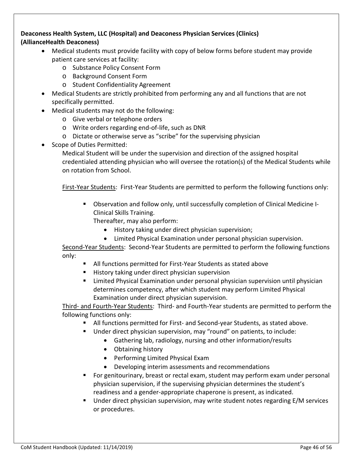### **Deaconess Health System, LLC (Hospital) and Deaconess Physician Services (Clinics) (AllianceHealth Deaconess)**

- Medical students must provide facility with copy of below forms before student may provide patient care services at facility:
	- o Substance Policy Consent Form
	- o Background Consent Form
	- o Student Confidentiality Agreement
- Medical Students are strictly prohibited from performing any and all functions that are not specifically permitted.
- Medical students may not do the following:
	- o Give verbal or telephone orders
	- o Write orders regarding end-of-life, such as DNR
	- o Dictate or otherwise serve as "scribe" for the supervising physician
- Scope of Duties Permitted:

Medical Student will be under the supervision and direction of the assigned hospital credentialed attending physician who will oversee the rotation(s) of the Medical Students while on rotation from School.

First-Year Students: First-Year Students are permitted to perform the following functions only:

 Observation and follow only, until successfully completion of Clinical Medicine I-Clinical Skills Training.

Thereafter, may also perform:

- History taking under direct physician supervision;
- Limited Physical Examination under personal physician supervision.

Second-Year Students: Second-Year Students are permitted to perform the following functions only:

- All functions permitted for First-Year Students as stated above
- **History taking under direct physician supervision**
- Limited Physical Examination under personal physician supervision until physician determines competency, after which student may perform Limited Physical Examination under direct physician supervision.

Third- and Fourth-Year Students: Third- and Fourth-Year students are permitted to perform the following functions only:

- All functions permitted for First- and Second-year Students, as stated above.
- Under direct physician supervision, may "round" on patients, to include:
	- Gathering lab, radiology, nursing and other information/results
		- Obtaining history
		- Performing Limited Physical Exam
		- Developing interim assessments and recommendations
- For genitourinary, breast or rectal exam, student may perform exam under personal physician supervision, if the supervising physician determines the student's readiness and a gender-appropriate chaperone is present, as indicated.
- Under direct physician supervision, may write student notes regarding E/M services or procedures.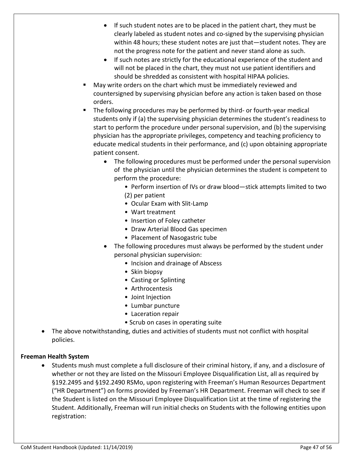- If such student notes are to be placed in the patient chart, they must be clearly labeled as student notes and co-signed by the supervising physician within 48 hours; these student notes are just that—student notes. They are not the progress note for the patient and never stand alone as such.
- If such notes are strictly for the educational experience of the student and will not be placed in the chart, they must not use patient identifiers and should be shredded as consistent with hospital HIPAA policies.
- May write orders on the chart which must be immediately reviewed and countersigned by supervising physician before any action is taken based on those orders.
- The following procedures may be performed by third- or fourth-year medical students only if (a) the supervising physician determines the student's readiness to start to perform the procedure under personal supervision, and (b) the supervising physician has the appropriate privileges, competency and teaching proficiency to educate medical students in their performance, and (c) upon obtaining appropriate patient consent.
	- The following procedures must be performed under the personal supervision of the physician until the physician determines the student is competent to perform the procedure:
		- Perform insertion of IVs or draw blood—stick attempts limited to two (2) per patient
		- Ocular Exam with Slit-Lamp
		- Wart treatment
		- Insertion of Foley catheter
		- Draw Arterial Blood Gas specimen
		- Placement of Nasogastric tube
	- The following procedures must always be performed by the student under personal physician supervision:
		- Incision and drainage of Abscess
		- Skin biopsy
		- Casting or Splinting
		- Arthrocentesis
		- Joint Injection
		- Lumbar puncture
		- Laceration repair
		- Scrub on cases in operating suite
- The above notwithstanding, duties and activities of students must not conflict with hospital policies.

### **Freeman Health System**

• Students mush must complete a full disclosure of their criminal history, if any, and a disclosure of whether or not they are listed on the Missouri Employee Disqualification List, all as required by §192.2495 and §192.2490 RSMo, upon registering with Freeman's Human Resources Department ("HR Department") on forms provided by Freeman's HR Department. Freeman will check to see if the Student is listed on the Missouri Employee Disqualification List at the time of registering the Student. Additionally, Freeman will run initial checks on Students with the following entities upon registration: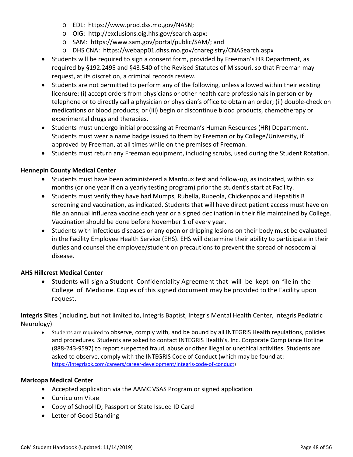- o EDL: https://www.prod.dss.mo.gov/NASN;
- o OIG: [http://exclusions.oig.hhs.gov/search.aspx;](http://exclusions.oig.hhs.gov/search.aspx)
- o SAM: [https://www.sam.gov/portal/public/SAM/;](https://www.sam.gov/portal/public/SAM/) and
- o DHS CNA: <https://webapp01.dhss.mo.gov/cnaregistry/CNASearch.aspx>
- Students will be required to sign a consent form, provided by Freeman's HR Department, as required by §192.2495 and §43.540 of the Revised Statutes of Missouri, so that Freeman may request, at its discretion, a criminal records review.
- Students are not permitted to perform any of the following, unless allowed within their existing licensure: (i) accept orders from physicians or other health care professionals in person or by telephone or to directly call a physician or physician's office to obtain an order; (ii) double-check on medications or blood products; or (iii) begin or discontinue blood products, chemotherapy or experimental drugs and therapies.
- Students must undergo initial processing at Freeman's Human Resources (HR) Department. Students must wear a name badge issued to them by Freeman or by College/University, if approved by Freeman, at all times while on the premises of Freeman.
- Students must return any Freeman equipment, including scrubs, used during the Student Rotation.

### **Hennepin County Medical Center**

- Students must have been administered a Mantoux test and follow-up, as indicated, within six months (or one year if on a yearly testing program) prior the student's start at Facility.
- Students must verify they have had Mumps, Rubella, Rubeola, Chickenpox and Hepatitis B screening and vaccination, as indicated. Students that will have direct patient access must have on file an annual influenza vaccine each year or a signed declination in their file maintained by College. Vaccination should be done before November 1 of every year.
- Students with infectious diseases or any open or dripping lesions on their body must be evaluated in the Facility Employee Health Service (EHS). EHS will determine their ability to participate in their duties and counsel the employee/student on precautions to prevent the spread of nosocomial disease.

### **AHS Hillcrest Medical Center**

• Students will sign a Student Confidentiality Agreement that will be kept on file in the College of Medicine. Copies of this signed document may be provided to the Facility upon request.

**Integris Sites** (including, but not limited to, Integris Baptist, Integris Mental Health Center, Integris Pediatric Neurology)

• Students are required to observe, comply with, and be bound by all INTEGRIS Health regulations, policies and procedures. Students are asked to contact INTEGRIS Health's, Inc. Corporate Compliance Hotline (888-243-9597) to report suspected fraud, abuse or other illegal or unethical activities. Students are asked to observe, comply with the INTEGRIS Code of Conduct (which may be found at: [https://integrisok.com/careers/career-development/integris-code-of-conduct\)](https://integrisok.com/careers/career-development/integris-code-of-conduct)

### **Maricopa Medical Center**

- Accepted application via the AAMC VSAS Program or signed application
- Curriculum Vitae
- Copy of School ID, Passport or State Issued ID Card
- Letter of Good Standing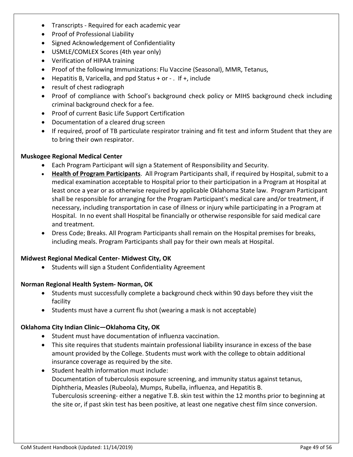- Transcripts Required for each academic year
- Proof of Professional Liability
- Signed Acknowledgement of Confidentiality
- USMLE/COMLEX Scores (4th year only)
- Verification of HIPAA training
- Proof of the following Immunizations: Flu Vaccine (Seasonal), MMR, Tetanus,
- Hepatitis B, Varicella, and ppd Status + or . If +, include
- result of chest radiograph
- Proof of compliance with School's background check policy or MIHS background check including criminal background check for a fee.
- Proof of current Basic Life Support Certification
- Documentation of a cleared drug screen
- If required, proof of TB particulate respirator training and fit test and inform Student that they are to bring their own respirator.

### **Muskogee Regional Medical Center**

- Each Program Participant will sign a Statement of Responsibility and Security.
- **Health of Program Participants**. All Program Participants shall, if required by Hospital, submit to a medical examination acceptable to Hospital prior to their participation in a Program at Hospital at least once a year or as otherwise required by applicable Oklahoma State law. Program Participant shall be responsible for arranging for the Program Participant's medical care and/or treatment, if necessary, including transportation in case of illness or injury while participating in a Program at Hospital. In no event shall Hospital be financially or otherwise responsible for said medical care and treatment.
- Dress Code; Breaks. All Program Participants shall remain on the Hospital premises for breaks, including meals. Program Participants shall pay for their own meals at Hospital.

### **Midwest Regional Medical Center- Midwest City, OK**

• Students will sign a Student Confidentiality Agreement

### **Norman Regional Health System- Norman, OK**

- Students must successfully complete a background check within 90 days before they visit the facility
- Students must have a current flu shot (wearing a mask is not acceptable)

### **Oklahoma City Indian Clinic—Oklahoma City, OK**

- Student must have documentation of influenza vaccination.
- This site requires that students maintain professional liability insurance in excess of the base amount provided by the College. Students must work with the college to obtain additional insurance coverage as required by the site.
- Student health information must include: Documentation of tuberculosis exposure screening, and immunity status against tetanus, Diphtheria, Measles (Rubeola), Mumps, Rubella, influenza, and Hepatitis B. Tuberculosis screening- either a negative T.B. skin test within the 12 months prior to beginning at the site or, if past skin test has been positive, at least one negative chest film since conversion.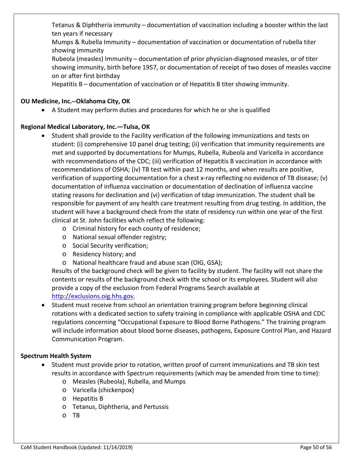Tetanus & Diphtheria immunity – documentation of vaccination including a booster within the last ten years if necessary

Mumps & Rubella Immunity – documentation of vaccination or documentation of rubella titer showing immunity

Rubeola (measles) Immunity – documentation of prior physician-diagnosed measles, or of titer showing immunity, birth before 1957, or documentation of receipt of two doses of measles vaccine on or after first birthday

Hepatitis B – documentation of vaccination or of Hepatitis B titer showing immunity.

### **OU Medicine, Inc.--Oklahoma City, OK**

• A Student may perform duties and procedures for which he or she is qualified

### **Regional Medical Laboratory, Inc.—Tulsa, OK**

- Student shall provide to the Facility verification of the following immunizations and tests on student: (i) comprehensive 10 panel drug testing; (ii) verification that immunity requirements are met and supported by documentations for Mumps, Rubella, Rubeola and Varicella in accordance with recommendations of the CDC; (iii) verification of Hepatitis B vaccination in accordance with recommendations of OSHA; (iv) TB test within past 12 months, and when results are positive, verification of supporting documentation for a chest x-ray reflecting no evidence of TB disease; (v) documentation of influenza vaccination or documentation of declination of influenza vaccine stating reasons for declination and (vi) verification of tdap immunization. The student shall be responsible for payment of any health care treatment resulting from drug testing. In addition, the student will have a background check from the state of residency run within one year of the first clinical at St. John facilities which reflect the following:
	- o Criminal history for each county of residence;
	- o National sexual offender registry;
	- o Social Security verification;
	- o Residency history; and
	- o National healthcare fraud and abuse scan (OIG, GSA);

Results of the background check will be given to facility by student. The facility will not share the contents or results of the background check with the school or its employees. Student will also provide a copy of the exclusion from Federal Programs Search available at [http://exclusions.oig.hhs.gov.](http://exclusions.oig.hhs.gov/)

• Student must receive from school an orientation training program before beginning clinical rotations with a dedicated section to safety training in compliance with applicable OSHA and CDC regulations concerning "Occupational Exposure to Blood Borne Pathogens." The training program will include information about blood borne diseases, pathogens, Exposure Control Plan, and Hazard Communication Program.

### **Spectrum Health System**

- Student must provide prior to rotation, written proof of current immunizations and TB skin test results in accordance with Spectrum requirements (which may be amended from time to time):
	- o Measles (Rubeola), Rubella, and Mumps
	- o Varicella (chickenpox)
	- o Hepatitis B
	- o Tetanus, Diphtheria, and Pertussis
	- o TB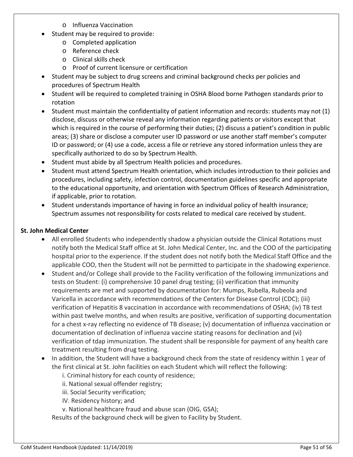- o Influenza Vaccination
- Student may be required to provide:
	- o Completed application
	- o Reference check
	- o Clinical skills check
	- o Proof of current licensure or certification
- Student may be subject to drug screens and criminal background checks per policies and procedures of Spectrum Health
- Student will be required to completed training in OSHA Blood borne Pathogen standards prior to rotation
- Student must maintain the confidentiality of patient information and records: students may not (1) disclose, discuss or otherwise reveal any information regarding patients or visitors except that which is required in the course of performing their duties; (2) discuss a patient's condition in public areas; (3) share or disclose a computer user ID password or use another staff member's computer ID or password; or (4) use a code, access a file or retrieve any stored information unless they are specifically authorized to do so by Spectrum Health.
- Student must abide by all Spectrum Health policies and procedures.
- Student must attend Spectrum Health orientation, which includes introduction to their policies and procedures, including safety, infection control, documentation guidelines specific and appropriate to the educational opportunity, and orientation with Spectrum Offices of Research Administration, if applicable, prior to rotation.
- Student understands importance of having in force an individual policy of health insurance; Spectrum assumes not responsibility for costs related to medical care received by student.

### **St. John Medical Center**

- All enrolled Students who independently shadow a physician outside the Clinical Rotations must notify both the Medical Staff office at St. John Medical Center, Inc. and the COO of the participating hospital prior to the experience. If the student does not notify both the Medical Staff Office and the applicable COO, then the Student will not be permitted to participate in the shadowing experience.
- Student and/or College shall provide to the Facility verification of the following immunizations and tests on Student: (i) comprehensive 10 panel drug testing; (ii) verification that immunity requirements are met and supported by documentation for: Mumps, Rubella, Rubeola and Varicella in accordance with recommendations of the Centers for Disease Control (CDC); (iii) verification of Hepatitis 8 vaccination in accordance with recommendations of OSHA; (iv) TB test within past twelve months, and when results are positive, verification of supporting documentation for a chest x-ray reflecting no evidence of TB disease; (v) documentation of influenza vaccination or documentation of declination of influenza vaccine stating reasons for declination and (vi) verification of tdap immunization. The student shall be responsible for payment of any health care treatment resulting from drug testing.
- In addition, the Student will have a background check from the state of residency within 1 year of the first clinical at St. John facilities on each Student which will reflect the following:
	- i. Criminal history for each county of residence;
	- ii. National sexual offender registry;
	- iii. Social Security verification;
	- IV. Residency history; and
	- v. National healthcare fraud and abuse scan (OIG, GSA);

Results of the background check will be given to Facility by Student.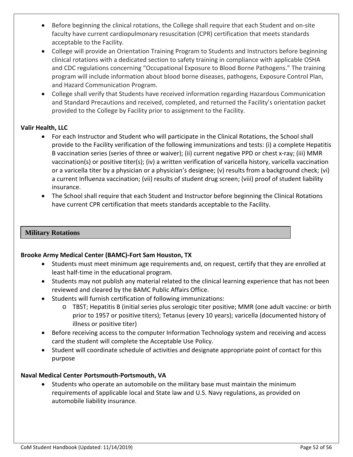- Before beginning the clinical rotations, the College shall require that each Student and on-site faculty have current cardiopulmonary resuscitation (CPR) certification that meets standards acceptable to the Facility.
- College will provide an Orientation Training Program to Students and Instructors before beginning clinical rotations with a dedicated section to safety training in compliance with applicable OSHA and CDC regulations concerning "Occupational Exposure to Blood Borne Pathogens." The training program will include information about blood borne diseases, pathogens, Exposure Control Plan, and Hazard Communication Program.
- College shall verify that Students have received information regarding Hazardous Communication and Standard Precautions and received, completed, and returned the Facility's orientation packet provided to the College by Facility prior to assignment to the Facility.

### **Valir Health, LLC**

- For each Instructor and Student who will participate in the Clinical Rotations, the School shall provide to the Facility verification of the following immunizations and tests: (i) a complete Hepatitis B vaccination series (series of three or waiver); (ii) current negative PPD or chest x-ray; (iii) MMR vaccination(s) or positive titer(s); (iv) a written verification of varicella history, varicella vaccination or a varicella titer by a physician or a physician's designee; (v) results from a background check; (vi) a current Influenza vaccination; (vii) results of student drug screen; (viii) proof of student liability insurance.
- The School shall require that each Student and Instructor before beginning the Clinical Rotations have current CPR certification that meets standards acceptable to the Facility.

### **Military Rotations**

### **Brooke Army Medical Center (BAMC)-Fort Sam Houston, TX**

- Students must meet minimum age requirements and, on request, certify that they are enrolled at least half-time in the educational program.
- Students may not publish any material related to the clinical learning experience that has not been reviewed and cleared by the BAMC Public Affairs Office.
- Students will furnish certification of following immunizations:
	- o TBST; Hepatitis B (initial series plus serologic titer positive; MMR (one adult vaccine: or birth prior to 1957 or positive titers); Tetanus (every 10 years); varicella (documented history of illness or positive titer)
- Before receiving access to the computer Information Technology system and receiving and access card the student will complete the Acceptable Use Policy.
- Student will coordinate schedule of activities and designate appropriate point of contact for this purpose

### **Naval Medical Center Portsmouth-Portsmouth, VA**

• Students who operate an automobile on the military base must maintain the minimum requirements of applicable local and State law and U.S. Navy regulations, as provided on automobile liability insurance.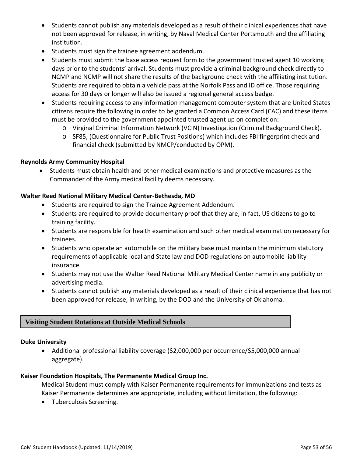- Students cannot publish any materials developed as a result of their clinical experiences that have not been approved for release, in writing, by Naval Medical Center Portsmouth and the affiliating institution.
- Students must sign the trainee agreement addendum.
- Students must submit the base access request form to the government trusted agent 10 working days prior to the students' arrival. Students must provide a criminal background check directly to NCMP and NCMP will not share the results of the background check with the affiliating institution. Students are required to obtain a vehicle pass at the Norfolk Pass and ID office. Those requiring access for 30 days or longer will also be issued a regional general access badge.
- Students requiring access to any information management computer system that are United States citizens require the following in order to be granted a Common Access Card (CAC) and these items must be provided to the government appointed trusted agent up on completion:
	- o Virginal Criminal Information Network (VCIN) Investigation (Criminal Background Check).
	- o SF85, (Questionnaire for Public Trust Positions) which includes FBI fingerprint check and financial check (submitted by NMCP/conducted by OPM).

### **Reynolds Army Community Hospital**

• Students must obtain health and other medical examinations and protective measures as the Commander of the Army medical facility deems necessary.

### **Walter Reed National Military Medical Center-Bethesda, MD**

- Students are required to sign the Trainee Agreement Addendum.
- Students are required to provide documentary proof that they are, in fact, US citizens to go to training facility.
- Students are responsible for health examination and such other medical examination necessary for trainees.
- Students who operate an automobile on the military base must maintain the minimum statutory requirements of applicable local and State law and DOD regulations on automobile liability insurance.
- Students may not use the Walter Reed National Military Medical Center name in any publicity or advertising media.
- Students cannot publish any materials developed as a result of their clinical experience that has not been approved for release, in writing, by the DOD and the University of Oklahoma.

### **Visiting Student Rotations at Outside Medical Schools**

### **Duke University**

> • Additional professional liability coverage (\$2,000,000 per occurrence/\$5,000,000 annual aggregate).

### **Kaiser Foundation Hospitals, The Permanente Medical Group Inc.**

Medical Student must comply with Kaiser Permanente requirements for immunizations and tests as Kaiser Permanente determines are appropriate, including without limitation, the following:

• Tuberculosis Screening.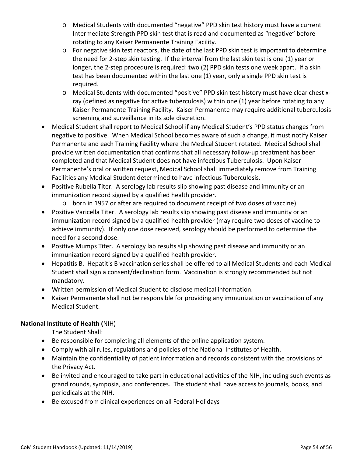- o Medical Students with documented "negative" PPD skin test history must have a current Intermediate Strength PPD skin test that is read and documented as "negative" before rotating to any Kaiser Permanente Training Facility.
- o For negative skin test reactors, the date of the last PPD skin test is important to determine the need for 2-step skin testing. If the interval from the last skin test is one (1) year or longer, the 2-step procedure is required: two (2) PPD skin tests one week apart. If a skin test has been documented within the last one (1) year, only a single PPD skin test is required.
- o Medical Students with documented "positive" PPD skin test history must have clear chest xray (defined as negative for active tuberculosis) within one (1) year before rotating to any Kaiser Permanente Training Facility. Kaiser Permanente may require additional tuberculosis screening and surveillance in its sole discretion.
- Medical Student shall report to Medical School if any Medical Student's PPD status changes from negative to positive. When Medical School becomes aware of such a change, it must notify Kaiser Permanente and each Training Facility where the Medical Student rotated. Medical School shall provide written documentation that confirms that all necessary follow-up treatment has been completed and that Medical Student does not have infectious Tuberculosis. Upon Kaiser Permanente's oral or written request, Medical School shall immediately remove from Training Facilities any Medical Student determined to have infectious Tuberculosis.
- Positive Rubella Titer. A serology lab results slip showing past disease and immunity or an immunization record signed by a qualified health provider.
	- o born in 1957 or after are required to document receipt of two doses of vaccine).
- Positive Varicella Titer. A serology lab results slip showing past disease and immunity or an immunization record signed by a qualified health provider (may require two doses of vaccine to achieve immunity). If only one dose received, serology should be performed to determine the need for a second dose.
- Positive Mumps Titer. A serology lab results slip showing past disease and immunity or an immunization record signed by a qualified health provider.
- Hepatitis B. Hepatitis B vaccination series shall be offered to all Medical Students and each Medical Student shall sign a consent/declination form. Vaccination is strongly recommended but not mandatory.
- Written permission of Medical Student to disclose medical information.
- Kaiser Permanente shall not be responsible for providing any immunization or vaccination of any Medical Student.

### **National Institute of Health (**NIH)

The Student Shall:

- Be responsible for completing all elements of the online application system.
- Comply with all rules, regulations and policies of the National Institutes of Health.
- Maintain the confidentiality of patient information and records consistent with the provisions of the Privacy Act.
- Be invited and encouraged to take part in educational activities of the NIH, including such events as grand rounds, symposia, and conferences. The student shall have access to journals, books, and periodicals at the NIH.
- Be excused from clinical experiences on all Federal Holidays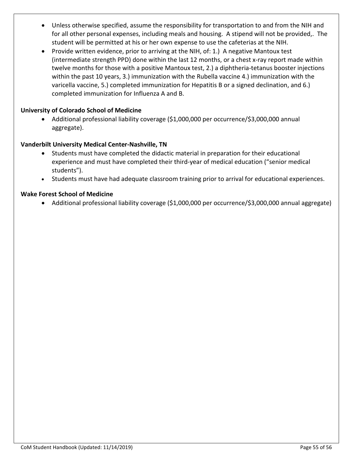- Unless otherwise specified, assume the responsibility for transportation to and from the NIH and for all other personal expenses, including meals and housing. A stipend will not be provided,. The student will be permitted at his or her own expense to use the cafeterias at the NIH.
- Provide written evidence, prior to arriving at the NIH, of: 1.) A negative Mantoux test (intermediate strength PPD) done within the last 12 months, or a chest x-ray report made within twelve months for those with a positive Mantoux test, 2.) a diphtheria-tetanus booster injections within the past 10 years, 3.) immunization with the Rubella vaccine 4.) immunization with the varicella vaccine, 5.) completed immunization for Hepatitis B or a signed declination, and 6.) completed immunization for Influenza A and B.

### **University of Colorado School of Medicine**

• Additional professional liability coverage (\$1,000,000 per occurrence/\$3,000,000 annual aggregate).

### **Vanderbilt University Medical Center-Nashville, TN**

- Students must have completed the didactic material in preparation for their educational experience and must have completed their third-year of medical education ("senior medical students").
- Students must have had adequate classroom training prior to arrival for educational experiences.

### **Wake Forest School of Medicine**

• Additional professional liability coverage (\$1,000,000 per occurrence/\$3,000,000 annual aggregate)